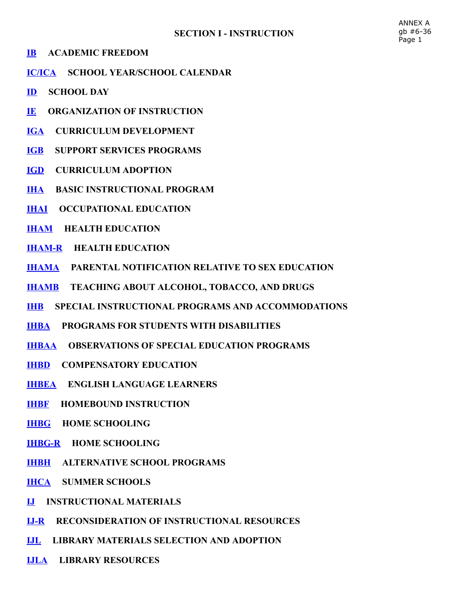- [IB](http://z2policy.ctspublish.com/masc/docid=160&z2collection=master#JD_IB)  ACADEMIC FREEDOM
- [IC/ICA](http://z2policy.ctspublish.com/masc/docid=161&z2collection=master#JD_IC/ICA)  SCHOOL YEAR/SCHOOL CALENDAR
- [ID](http://z2policy.ctspublish.com/masc/docid=162&z2collection=master#JD_ID)  SCHOOL DAY
- [IE](http://z2policy.ctspublish.com/masc/docid=163&z2collection=master#JD_IE) ORGANIZATION OF INSTRUCTION
- [IGA](http://z2policy.ctspublish.com/masc/docid=164&z2collection=master#JD_IGA)  CURRICULUM DEVELOPMENT
- [IGB](http://z2policy.ctspublish.com/masc/docid=165&z2collection=master#JD_IGB) SUPPORT SERVICES PROGRAMS
- [IGD](http://z2policy.ctspublish.com/masc/docid=166&z2collection=master#JD_IGD)  CURRICULUM ADOPTION
- [IHA](http://z2policy.ctspublish.com/masc/docid=167&z2collection=master#JD_IHA)  BASIC INSTRUCTIONAL PROGRAM
- **[IHAI](http://z2policy.ctspublish.com/masc/docid=168&z2collection=master#JD_IHAI) OCCUPATIONAL EDUCATION**
- **[IHAM](http://z2policy.ctspublish.com/masc/docid=169&z2collection=master#JD_IHAM) HEALTH EDUCATION**
- **IHAM-R HEALTH EDUCATION**
- [IHAMA](http://z2policy.ctspublish.com/masc/docid=171&z2collection=master#JD_IHAMA)  PARENTAL NOTIFICATION RELATIVE TO SEX EDUCATION
- [IHAMB](http://z2policy.ctspublish.com/masc/docid=172&z2collection=master#JD_IHAMB) TEACHING ABOUT ALCOHOL, TOBACCO, AND DRUGS
- [IHB](http://z2policy.ctspublish.com/masc/docid=173&z2collection=master#JD_IHB) SPECIAL INSTRUCTIONAL PROGRAMS AND ACCOMMODATIONS
- [IHBA](http://z2policy.ctspublish.com/masc/docid=174&z2collection=master#JD_IHBA)  PROGRAMS FOR STUDENTS WITH DISABILITIES
- [IHBAA](http://z2policy.ctspublish.com/masc/docid=175&z2collection=master#JD_IHBAA) OBSERVATIONS OF SPECIAL EDUCATION PROGRAMS
- [IHBD](http://z2policy.ctspublish.com/masc/docid=176&z2collection=master#JD_IHBD)  COMPENSATORY EDUCATION
- [IHBEA](http://z2policy.ctspublish.com/masc/docid=177&z2collection=master#JD_IHBEA)  ENGLISH LANGUAGE LEARNERS
- [IHBF](http://z2policy.ctspublish.com/masc/docid=178&z2collection=master#JD_IHBF) HOMEBOUND INSTRUCTION
- [IHBG](http://z2policy.ctspublish.com/masc/docid=179&z2collection=master#JD_IHBG)  HOME SCHOOLING
- **IHBG-R HOME SCHOOLING**
- [IHBH](http://z2policy.ctspublish.com/masc/docid=181&z2collection=master#JD_IHBH)  ALTERNATIVE SCHOOL PROGRAMS
- [IHCA](http://z2policy.ctspublish.com/masc/docid=182&z2collection=master#JD_IHCA)  SUMMER SCHOOLS
- [IJ](http://z2policy.ctspublish.com/masc/docid=183&z2collection=master#JD_IJ)  INSTRUCTIONAL MATERIALS
- **IJ-R** RECONSIDERATION OF INSTRUCTIONAL RESOURCES
- [IJL](http://z2policy.ctspublish.com/masc/docid=185&z2collection=master#JD_IJL)  LIBRARY MATERIALS SELECTION AND ADOPTION
- [IJLA](http://z2policy.ctspublish.com/masc/docid=186&z2collection=master#JD_IJLA) LIBRARY RESOURCES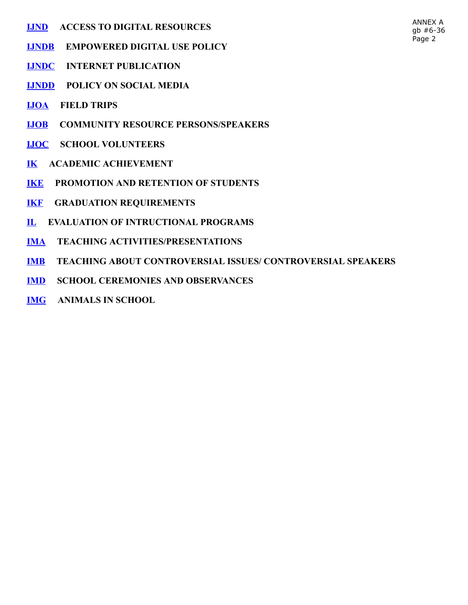- [IJND](http://z2policy.ctspublish.com/masc/docid=187&z2collection=master#JD_IJND) ACCESS TO DIGITAL RESOURCES
- [IJNDB](http://z2policy.ctspublish.com/masc/docid=188&z2collection=master#JD_IJNDB) EMPOWERED DIGITAL USE POLICY
- [IJNDC](http://z2policy.ctspublish.com/masc/docid=189&z2collection=master#JD_IJNDC)  INTERNET PUBLICATION
- [IJNDD](http://z2policy.ctspublish.com/masc/docid=190&z2collection=master#JD_IJNDD)  POLICY ON SOCIAL MEDIA
- [IJOA](http://z2policy.ctspublish.com/masc/docid=191&z2collection=master#JD_IJOA)  FIELD TRIPS
- [IJOB](http://z2policy.ctspublish.com/masc/docid=192&z2collection=master#JD_IJOB) COMMUNITY RESOURCE PERSONS/SPEAKERS
- [IJOC](http://z2policy.ctspublish.com/masc/docid=193&z2collection=master#JD_IJOC)  SCHOOL VOLUNTEERS
- [IK](http://z2policy.ctspublish.com/masc/docid=194&z2collection=master#JD_IK) ACADEMIC ACHIEVEMENT
- [IKE](http://z2policy.ctspublish.com/masc/docid=195&z2collection=master#JD_IKE) PROMOTION AND RETENTION OF STUDENTS
- [IKF](http://z2policy.ctspublish.com/masc/docid=196&z2collection=master#JD_IKF) GRADUATION REQUIREMENTS
- [IL](http://z2policy.ctspublish.com/masc/docid=197&z2collection=master#JD_IL) EVALUATION OF INTRUCTIONAL PROGRAMS
- [IMA](http://z2policy.ctspublish.com/masc/docid=198&z2collection=master#JD_IMA)  TEACHING ACTIVITIES/PRESENTATIONS
- [IMB](http://z2policy.ctspublish.com/masc/docid=199&z2collection=master#JD_IMB) TEACHING ABOUT CONTROVERSIAL ISSUES/ CONTROVERSIAL SPEAKERS
- [IMD](http://z2policy.ctspublish.com/masc/docid=200&z2collection=master#JD_IMD)  SCHOOL CEREMONIES AND OBSERVANCES
- [IMG](http://z2policy.ctspublish.com/masc/docid=201&z2collection=master#JD_IMG)  ANIMALS IN SCHOOL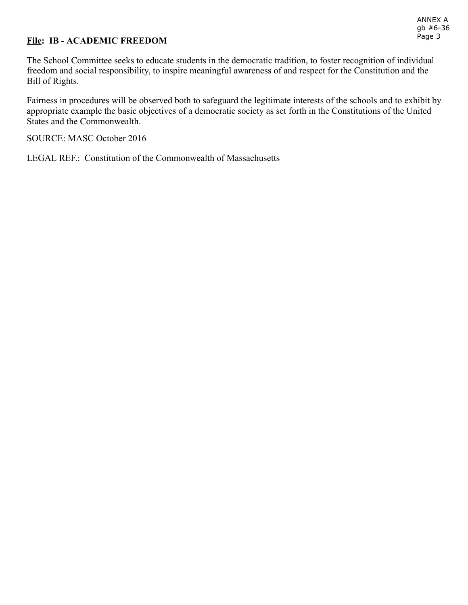#### File: IB - ACADEMIC FREEDOM

The School Committee seeks to educate students in the democratic tradition, to foster recognition of individual freedom and social responsibility, to inspire meaningful awareness of and respect for the Constitution and the Bill of Rights.

Fairness in procedures will be observed both to safeguard the legitimate interests of the schools and to exhibit by appropriate example the basic objectives of a democratic society as set forth in the Constitutions of the United States and the Commonwealth.

SOURCE: MASC October 2016

LEGAL REF.: Constitution of the Commonwealth of Massachusetts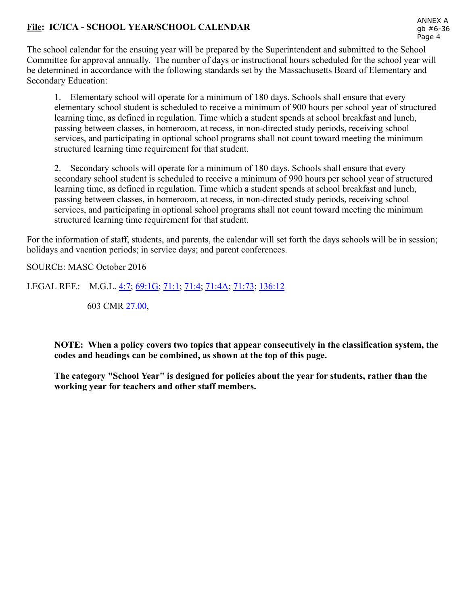# File: IC/ICA - SCHOOL YEAR/SCHOOL CALENDAR

The school calendar for the ensuing year will be prepared by the Superintendent and submitted to the School Committee for approval annually. The number of days or instructional hours scheduled for the school year will be determined in accordance with the following standards set by the Massachusetts Board of Elementary and Secondary Education:

1. Elementary school will operate for a minimum of 180 days. Schools shall ensure that every elementary school student is scheduled to receive a minimum of 900 hours per school year of structured learning time, as defined in regulation. Time which a student spends at school breakfast and lunch, passing between classes, in homeroom, at recess, in non-directed study periods, receiving school services, and participating in optional school programs shall not count toward meeting the minimum structured learning time requirement for that student.

2. Secondary schools will operate for a minimum of 180 days. Schools shall ensure that every secondary school student is scheduled to receive a minimum of 990 hours per school year of structured learning time, as defined in regulation. Time which a student spends at school breakfast and lunch, passing between classes, in homeroom, at recess, in non-directed study periods, receiving school services, and participating in optional school programs shall not count toward meeting the minimum structured learning time requirement for that student.

For the information of staff, students, and parents, the calendar will set forth the days schools will be in session; holidays and vacation periods; in service days; and parent conferences.

SOURCE: MASC October 2016

LEGAL REF.: M.G.L. [4:7;](http://www.malegislature.gov/Laws/GeneralLaws/PartI/TitleI/Chapter4/Section7) [69:1G](http://www.malegislature.gov/Laws/GeneralLaws/PartI/TitleXII/Chapter69/Section1G); [71:1;](http://www.malegislature.gov/Laws/GeneralLaws/PartI/TitleXII/Chapter71/Section1) [71:4;](http://www.malegislature.gov/Laws/GeneralLaws/PartI/TitleXII/Chapter71/Section4) [71:4A](http://www.malegislature.gov/Laws/GeneralLaws/PartI/TitleXII/Chapter71/Section4A); [71:73](http://www.malegislature.gov/Laws/GeneralLaws/PartI/TitleXII/Chapter71/Section73); [136:12](http://www.malegislature.gov/Laws/GeneralLaws/PartI/TitleXII/Chapter136/Section12)

603 CMR [27.00,](http://www.doe.mass.edu/lawsregs/603cmr27.html)

NOTE: When a policy covers two topics that appear consecutively in the classification system, the codes and headings can be combined, as shown at the top of this page.

The category "School Year" is designed for policies about the year for students, rather than the working year for teachers and other staff members.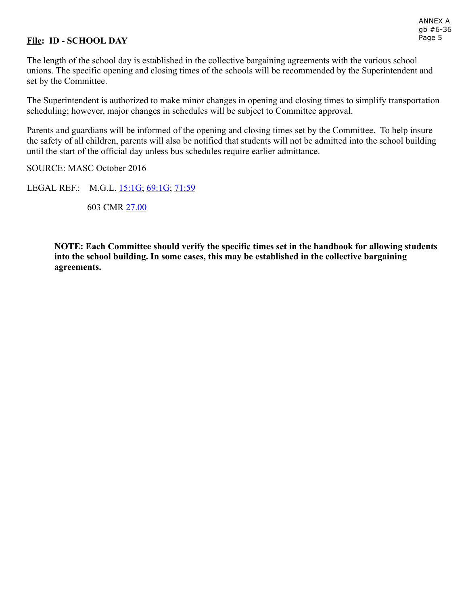## File: ID - SCHOOL DAY

The length of the school day is established in the collective bargaining agreements with the various school unions. The specific opening and closing times of the schools will be recommended by the Superintendent and set by the Committee.

The Superintendent is authorized to make minor changes in opening and closing times to simplify transportation scheduling; however, major changes in schedules will be subject to Committee approval.

Parents and guardians will be informed of the opening and closing times set by the Committee. To help insure the safety of all children, parents will also be notified that students will not be admitted into the school building until the start of the official day unless bus schedules require earlier admittance.

SOURCE: MASC October 2016

LEGAL REF.: M.G.L. [15:1G](http://www.malegislature.gov/Laws/GeneralLaws/PartI/TitleII/Chapter15/Section1g); [69:1G;](http://www.malegislature.gov/Laws/GeneralLaws/PartI/TitleXII/Chapter69/Section1g) [71:59](http://www.malegislature.gov/Laws/GeneralLaws/PartI/TitleXII/Chapter71/Section59)

603 CMR [27.00](http://www.doe.mass.edu/lawsregs/603cmr27.html)

NOTE: Each Committee should verify the specific times set in the handbook for allowing students into the school building. In some cases, this may be established in the collective bargaining agreements.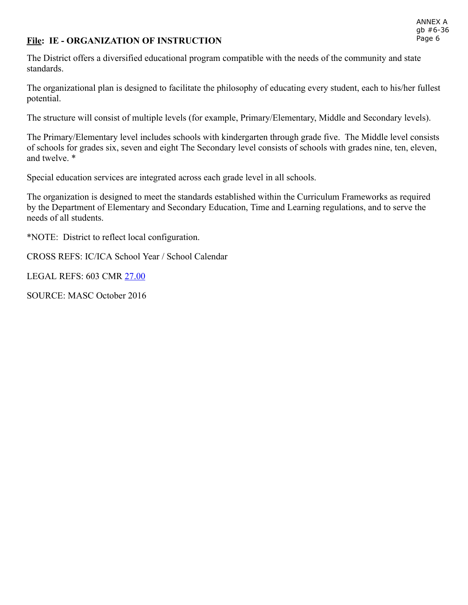#### ANNEX A gb #6-36 Page 6

#### File: IE - ORGANIZATION OF INSTRUCTION

The District offers a diversified educational program compatible with the needs of the community and state standards.

The organizational plan is designed to facilitate the philosophy of educating every student, each to his/her fullest potential.

The structure will consist of multiple levels (for example, Primary/Elementary, Middle and Secondary levels).

The Primary/Elementary level includes schools with kindergarten through grade five. The Middle level consists of schools for grades six, seven and eight The Secondary level consists of schools with grades nine, ten, eleven, and twelve. \*

Special education services are integrated across each grade level in all schools.

The organization is designed to meet the standards established within the Curriculum Frameworks as required by the Department of Elementary and Secondary Education, Time and Learning regulations, and to serve the needs of all students.

\*NOTE: District to reflect local configuration.

CROSS REFS: IC/ICA School Year / School Calendar

LEGAL REFS: 603 CMR [27.00](http://www.doe.mass.edu/lawsregs/603cmr27.html)

SOURCE: MASC October 2016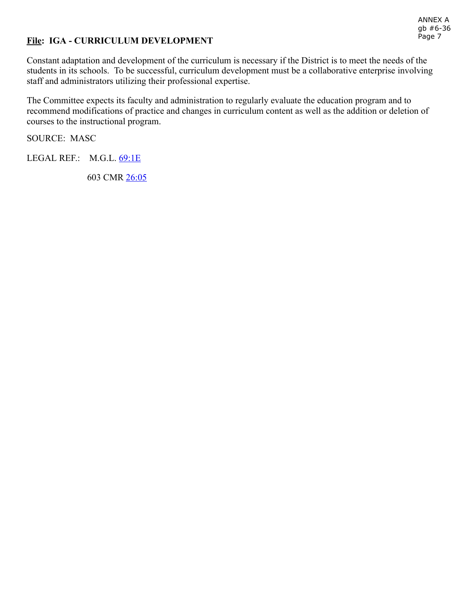#### ANNEX A gb #6-36 Page 7

### File: IGA - CURRICULUM DEVELOPMENT

Constant adaptation and development of the curriculum is necessary if the District is to meet the needs of the students in its schools. To be successful, curriculum development must be a collaborative enterprise involving staff and administrators utilizing their professional expertise.

The Committee expects its faculty and administration to regularly evaluate the education program and to recommend modifications of practice and changes in curriculum content as well as the addition or deletion of courses to the instructional program.

SOURCE: MASC

LEGAL REF.: M.G.L. [69:1E](http://www.malegislature.gov/Laws/GeneralLaws/PartI/TitleXII/Chapter69/Section1e)

603 CMR [26:05](http://www.doe.mass.edu/lawsregs/603cmr26.html?section=05)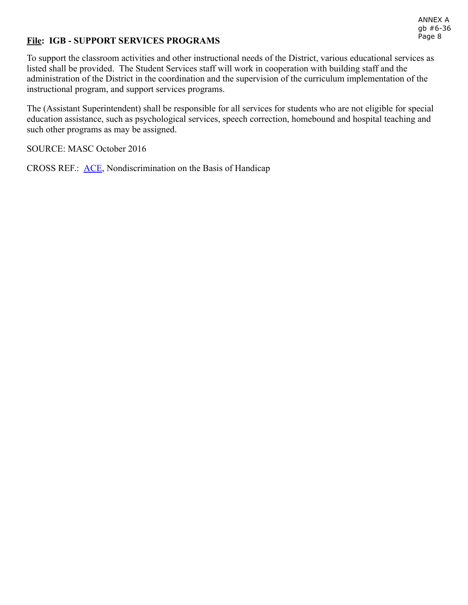#### ANNEX A gb #6-36 Page 8

### File: IGB - SUPPORT SERVICES PROGRAMS

To support the classroom activities and other instructional needs of the District, various educational services as listed shall be provided. The Student Services staff will work in cooperation with building staff and the administration of the District in the coordination and the supervision of the curriculum implementation of the instructional program, and support services programs.

The (Assistant Superintendent) shall be responsible for all services for students who are not eligible for special education assistance, such as psychological services, speech correction, homebound and hospital teaching and such other programs as may be assigned.

SOURCE: MASC October 2016

CROSS REF.: **ACE**, Nondiscrimination on the Basis of Handicap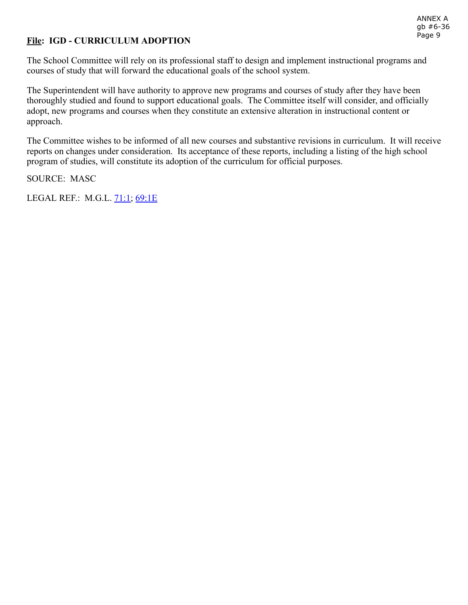## File: IGD - CURRICULUM ADOPTION

The School Committee will rely on its professional staff to design and implement instructional programs and courses of study that will forward the educational goals of the school system.

The Superintendent will have authority to approve new programs and courses of study after they have been thoroughly studied and found to support educational goals. The Committee itself will consider, and officially adopt, new programs and courses when they constitute an extensive alteration in instructional content or approach.

The Committee wishes to be informed of all new courses and substantive revisions in curriculum. It will receive reports on changes under consideration. Its acceptance of these reports, including a listing of the high school program of studies, will constitute its adoption of the curriculum for official purposes.

SOURCE: MASC

LEGAL REF.: M.G.L. [71:1;](http://www.malegislature.gov/Laws/GeneralLaws/PartI/TitleXII/Chapter71/Section1) [69:1E](http://www.malegislature.gov/Laws/GeneralLaws/PartI/TitleXII/Chapter69/Section1e)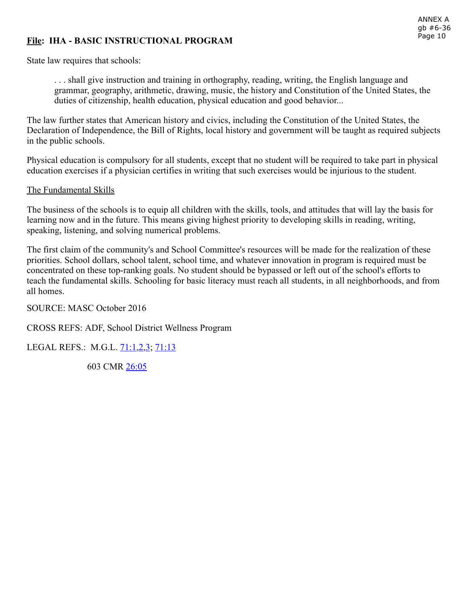## File: IHA - BASIC INSTRUCTIONAL PROGRAM

State law requires that schools:

. . . shall give instruction and training in orthography, reading, writing, the English language and grammar, geography, arithmetic, drawing, music, the history and Constitution of the United States, the duties of citizenship, health education, physical education and good behavior...

The law further states that American history and civics, including the Constitution of the United States, the Declaration of Independence, the Bill of Rights, local history and government will be taught as required subjects in the public schools.

Physical education is compulsory for all students, except that no student will be required to take part in physical education exercises if a physician certifies in writing that such exercises would be injurious to the student.

#### The Fundamental Skills

The business of the schools is to equip all children with the skills, tools, and attitudes that will lay the basis for learning now and in the future. This means giving highest priority to developing skills in reading, writing, speaking, listening, and solving numerical problems.

The first claim of the community's and School Committee's resources will be made for the realization of these priorities. School dollars, school talent, school time, and whatever innovation in program is required must be concentrated on these top-ranking goals. No student should be bypassed or left out of the school's efforts to teach the fundamental skills. Schooling for basic literacy must reach all students, in all neighborhoods, and from all homes.

SOURCE: MASC October 2016

CROSS REFS: ADF, School District Wellness Program

LEGAL REFS.: M.G.L. [71:1](http://www.malegislature.gov/Laws/GeneralLaws/PartI/TitleXII/Chapter71/Section1), 2, 3, [71:13](http://www.malegislature.gov/Laws/GeneralLaws/PartI/TitleXII/Chapter71/Section13)

603 CMR [26:05](http://www.doe.mass.edu/lawsregs/603cmr26.html?section=05)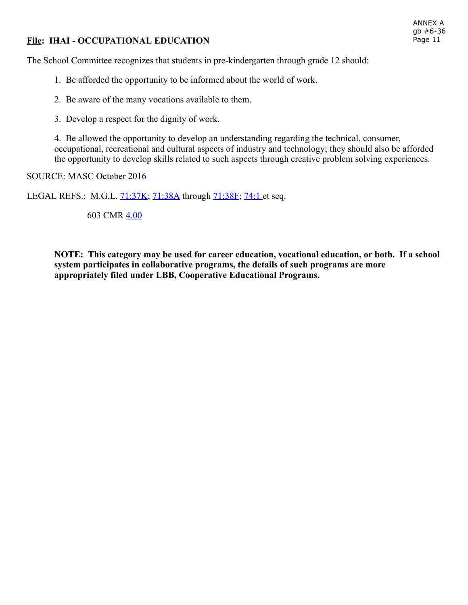## File: IHAI - OCCUPATIONAL EDUCATION

The School Committee recognizes that students in pre-kindergarten through grade 12 should:

- 1. Be afforded the opportunity to be informed about the world of work.
- 2. Be aware of the many vocations available to them.
- 3. Develop a respect for the dignity of work.

4. Be allowed the opportunity to develop an understanding regarding the technical, consumer, occupational, recreational and cultural aspects of industry and technology; they should also be afforded the opportunity to develop skills related to such aspects through creative problem solving experiences.

SOURCE: MASC October 2016

LEGAL REFS.: M.G.L. [71:37K](http://www.malegislature.gov/Laws/GeneralLaws/PartI/TitleXII/Chapter71/Section37K); [71:38A](http://www.malegislature.gov/Laws/GeneralLaws/PartI/TitleXII/Chapter71/Section38A) through [71:38F](http://www.malegislature.gov/Laws/GeneralLaws/PartI/TitleXII/Chapter71/Section38F); [74:1 e](http://www.malegislature.gov/Laws/GeneralLaws/PartI/TitleXII/Chapter74/Section1)t seq.

603 CMR [4.00](http://www.doe.mass.edu/lawsregs/603cmr4.html)

NOTE: This category may be used for career education, vocational education, or both. If a school system participates in collaborative programs, the details of such programs are more appropriately filed under LBB, Cooperative Educational Programs.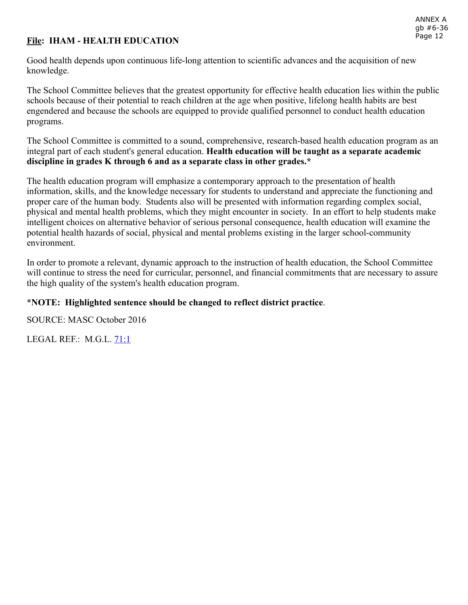# File: IHAM - HEALTH EDUCATION

Good health depends upon continuous life-long attention to scientific advances and the acquisition of new knowledge.

The School Committee believes that the greatest opportunity for effective health education lies within the public schools because of their potential to reach children at the age when positive, lifelong health habits are best engendered and because the schools are equipped to provide qualified personnel to conduct health education programs.

The School Committee is committed to a sound, comprehensive, research-based health education program as an integral part of each student's general education. Health education will be taught as a separate academic discipline in grades K through 6 and as a separate class in other grades.\*

The health education program will emphasize a contemporary approach to the presentation of health information, skills, and the knowledge necessary for students to understand and appreciate the functioning and proper care of the human body. Students also will be presented with information regarding complex social, physical and mental health problems, which they might encounter in society. In an effort to help students make intelligent choices on alternative behavior of serious personal consequence, health education will examine the potential health hazards of social, physical and mental problems existing in the larger school-community environment.

In order to promote a relevant, dynamic approach to the instruction of health education, the School Committee will continue to stress the need for curricular, personnel, and financial commitments that are necessary to assure the high quality of the system's health education program.

## \*NOTE: Highlighted sentence should be changed to reflect district practice.

SOURCE: MASC October 2016

LEGAL REF.: M.G.L. [71:1](http://www.malegislature.gov/Laws/GeneralLaws/PartI/TitleXII/Chapter71/Section1)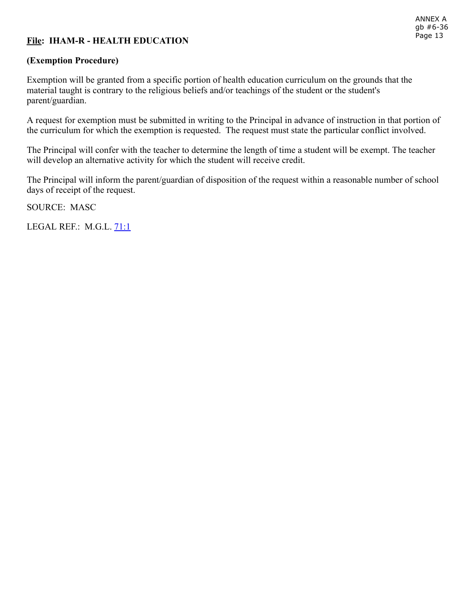# File: IHAM-R - HEALTH EDUCATION

## (Exemption Procedure)

Exemption will be granted from a specific portion of health education curriculum on the grounds that the material taught is contrary to the religious beliefs and/or teachings of the student or the student's parent/guardian.

A request for exemption must be submitted in writing to the Principal in advance of instruction in that portion of the curriculum for which the exemption is requested. The request must state the particular conflict involved.

The Principal will confer with the teacher to determine the length of time a student will be exempt. The teacher will develop an alternative activity for which the student will receive credit.

The Principal will inform the parent/guardian of disposition of the request within a reasonable number of school days of receipt of the request.

SOURCE: MASC

LEGAL REF.: M.G.L. [71:1](http://www.malegislature.gov/Laws/GeneralLaws/PartI/TitleXII/Chapter71/Section1)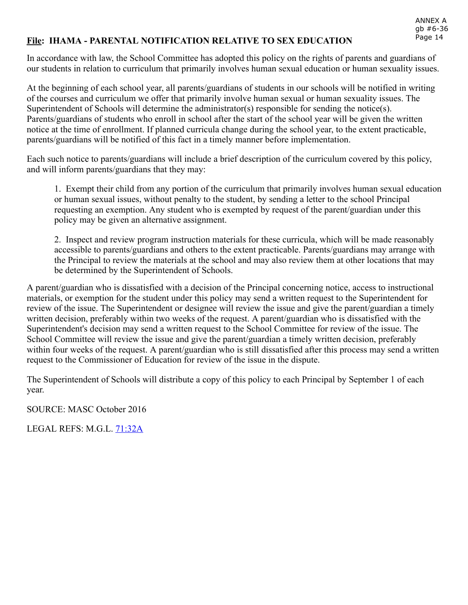#### File: IHAMA PARENTAL NOTIFICATION RELATIVE TO SEX EDUCATION

In accordance with law, the School Committee has adopted this policy on the rights of parents and guardians of our students in relation to curriculum that primarily involves human sexual education or human sexuality issues.

At the beginning of each school year, all parents/guardians of students in our schools will be notified in writing of the courses and curriculum we offer that primarily involve human sexual or human sexuality issues. The Superintendent of Schools will determine the administrator(s) responsible for sending the notice(s). Parents/guardians of students who enroll in school after the start of the school year will be given the written notice at the time of enrollment. If planned curricula change during the school year, to the extent practicable, parents/guardians will be notified of this fact in a timely manner before implementation.

Each such notice to parents/guardians will include a brief description of the curriculum covered by this policy, and will inform parents/guardians that they may:

1. Exempt their child from any portion of the curriculum that primarily involves human sexual education or human sexual issues, without penalty to the student, by sending a letter to the school Principal requesting an exemption. Any student who is exempted by request of the parent/guardian under this policy may be given an alternative assignment.

2. Inspect and review program instruction materials for these curricula, which will be made reasonably accessible to parents/guardians and others to the extent practicable. Parents/guardians may arrange with the Principal to review the materials at the school and may also review them at other locations that may be determined by the Superintendent of Schools.

A parent/guardian who is dissatisfied with a decision of the Principal concerning notice, access to instructional materials, or exemption for the student under this policy may send a written request to the Superintendent for review of the issue. The Superintendent or designee will review the issue and give the parent/guardian a timely written decision, preferably within two weeks of the request. A parent/guardian who is dissatisfied with the Superintendent's decision may send a written request to the School Committee for review of the issue. The School Committee will review the issue and give the parent/guardian a timely written decision, preferably within four weeks of the request. A parent/guardian who is still dissatisfied after this process may send a written request to the Commissioner of Education for review of the issue in the dispute.

The Superintendent of Schools will distribute a copy of this policy to each Principal by September 1 of each year.

SOURCE: MASC October 2016

LEGAL REFS: M.G.L. [71:32A](https://malegislature.gov/Laws/GeneralLaws/PartI/TitleXII/Chapter71/section32a)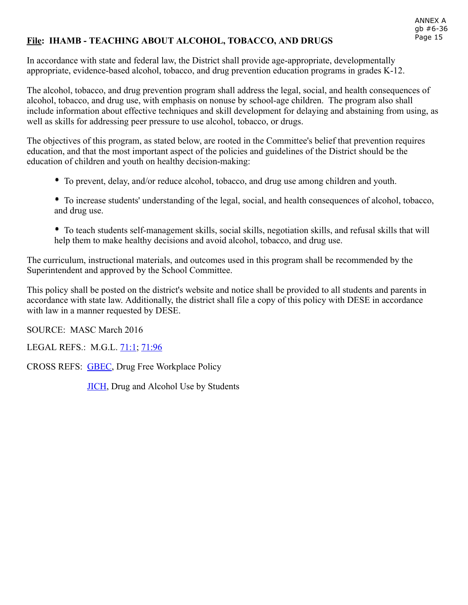## File: IHAMB - TEACHING ABOUT ALCOHOL, TOBACCO, AND DRUGS

In accordance with state and federal law, the District shall provide age-appropriate, developmentally appropriate, evidence-based alcohol, tobacco, and drug prevention education programs in grades  $K-12$ .

The alcohol, tobacco, and drug prevention program shall address the legal, social, and health consequences of alcohol, tobacco, and drug use, with emphasis on nonuse by school-age children. The program also shall include information about effective techniques and skill development for delaying and abstaining from using, as well as skills for addressing peer pressure to use alcohol, tobacco, or drugs.

The objectives of this program, as stated below, are rooted in the Committee's belief that prevention requires education, and that the most important aspect of the policies and guidelines of the District should be the education of children and youth on healthy decision-making:

- To prevent, delay, and/or reduce alcohol, tobacco, and drug use among children and youth.
- To increase students' understanding of the legal, social, and health consequences of alcohol, tobacco, and drug use.
- To teach students self-management skills, social skills, negotiation skills, and refusal skills that will help them to make healthy decisions and avoid alcohol, tobacco, and drug use.

The curriculum, instructional materials, and outcomes used in this program shall be recommended by the Superintendent and approved by the School Committee.

This policy shall be posted on the district's website and notice shall be provided to all students and parents in accordance with state law. Additionally, the district shall file a copy of this policy with DESE in accordance with law in a manner requested by DESE.

SOURCE: MASC March 2016

LEGAL REFS.: M.G.L. [71:1](http://www.malegislature.gov/Laws/GeneralLaws/PartI/TitleXII/Chapter71/Section1); [71:96](http://www.malegislature.gov/Laws/GeneralLaws/PartI/TitleXII/Chapter71/Section96)

CROSS REFS:  [GBEC](http://z2policy.ctspublish.com/masc/docid=126&z2collection=master#JD_GBEC), Drug Free Workplace Policy

**[JICH](http://z2policy.ctspublish.com/masc/docid=224&z2collection=master#JD_JICH)**, Drug and Alcohol Use by Students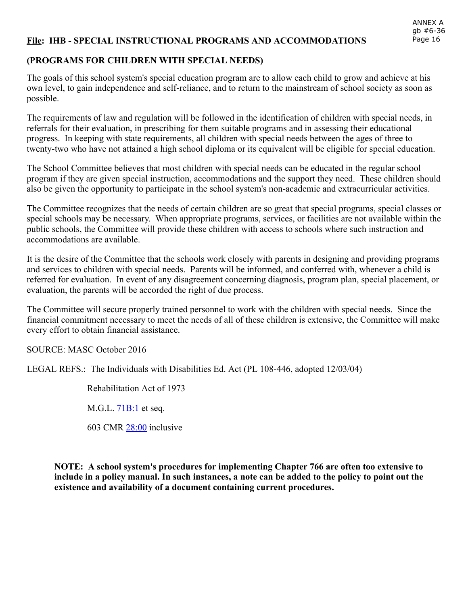#### File: IHB - SPECIAL INSTRUCTIONAL PROGRAMS AND ACCOMMODATIONS

#### (PROGRAMS FOR CHILDREN WITH SPECIAL NEEDS)

The goals of this school system's special education program are to allow each child to grow and achieve at his own level, to gain independence and self-reliance, and to return to the mainstream of school society as soon as possible.

The requirements of law and regulation will be followed in the identification of children with special needs, in referrals for their evaluation, in prescribing for them suitable programs and in assessing their educational progress. In keeping with state requirements, all children with special needs between the ages of three to twenty-two who have not attained a high school diploma or its equivalent will be eligible for special education.

The School Committee believes that most children with special needs can be educated in the regular school program if they are given special instruction, accommodations and the support they need. These children should also be given the opportunity to participate in the school system's non-academic and extracurricular activities.

The Committee recognizes that the needs of certain children are so great that special programs, special classes or special schools may be necessary. When appropriate programs, services, or facilities are not available within the public schools, the Committee will provide these children with access to schools where such instruction and accommodations are available.

It is the desire of the Committee that the schools work closely with parents in designing and providing programs and services to children with special needs. Parents will be informed, and conferred with, whenever a child is referred for evaluation. In event of any disagreement concerning diagnosis, program plan, special placement, or evaluation, the parents will be accorded the right of due process.

The Committee will secure properly trained personnel to work with the children with special needs. Since the financial commitment necessary to meet the needs of all of these children is extensive, the Committee will make every effort to obtain financial assistance.

SOURCE: MASC October 2016

LEGAL REFS.: The Individuals with Disabilities Ed. Act (PL 108-446, adopted 12/03/04)

Rehabilitation Act of 1973

M.G.L. **[71B:1](http://www.malegislature.gov/Laws/GeneralLaws/PartI/TitleXII/Chapter71b/Section1)** et seq.

603 CMR [28:00](http://www.doe.mass.edu/lawsregs/603cmr28.html) inclusive

NOTE: A school system's procedures for implementing Chapter 766 are often too extensive to include in a policy manual. In such instances, a note can be added to the policy to point out the existence and availability of a document containing current procedures.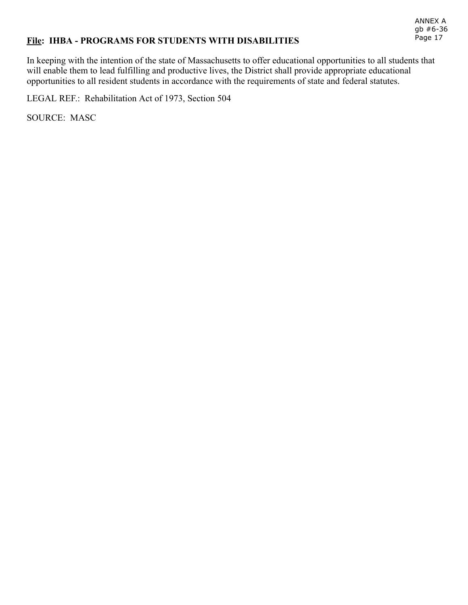## File: IHBA - PROGRAMS FOR STUDENTS WITH DISABILITIES

In keeping with the intention of the state of Massachusetts to offer educational opportunities to all students that will enable them to lead fulfilling and productive lives, the District shall provide appropriate educational opportunities to all resident students in accordance with the requirements of state and federal statutes.

LEGAL REF.: Rehabilitation Act of 1973, Section 504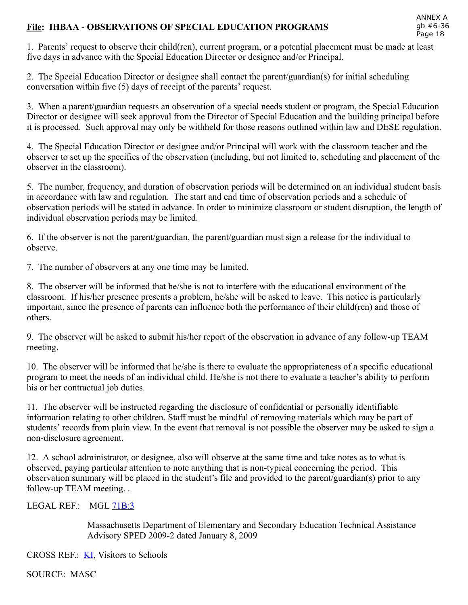## File: IHBAA OBSERVATIONS OF SPECIAL EDUCATION PROGRAMS

1. Parents' request to observe their child(ren), current program, or a potential placement must be made at least five days in advance with the Special Education Director or designee and/or Principal.

2. The Special Education Director or designee shall contact the parent/guardian(s) for initial scheduling conversation within five (5) days of receipt of the parents' request.

3. When a parent/guardian requests an observation of a special needs student or program, the Special Education Director or designee will seek approval from the Director of Special Education and the building principal before it is processed. Such approval may only be withheld for those reasons outlined within law and DESE regulation.

4. The Special Education Director or designee and/or Principal will work with the classroom teacher and the observer to set up the specifics of the observation (including, but not limited to, scheduling and placement of the observer in the classroom).

5. The number, frequency, and duration of observation periods will be determined on an individual student basis in accordance with law and regulation. The start and end time of observation periods and a schedule of observation periods will be stated in advance. In order to minimize classroom or student disruption, the length of individual observation periods may be limited.

6. If the observer is not the parent/guardian, the parent/guardian must sign a release for the individual to observe.

7. The number of observers at any one time may be limited.

8. The observer will be informed that he/she is not to interfere with the educational environment of the classroom. If his/her presence presents a problem, he/she will be asked to leave. This notice is particularly important, since the presence of parents can influence both the performance of their child(ren) and those of others.

9. The observer will be asked to submit his/her report of the observation in advance of any follow-up TEAM meeting.

10. The observer will be informed that he/she is there to evaluate the appropriateness of a specific educational program to meet the needs of an individual child. He/she is not there to evaluate a teacher's ability to perform his or her contractual job duties.

11. The observer will be instructed regarding the disclosure of confidential or personally identifiable information relating to other children. Staff must be mindful of removing materials which may be part of students' records from plain view. In the event that removal is not possible the observer may be asked to sign a non-disclosure agreement.

12. A school administrator, or designee, also will observe at the same time and take notes as to what is observed, paying particular attention to note anything that is non-typical concerning the period. This observation summary will be placed in the student's file and provided to the parent/guardian(s) prior to any follow-up TEAM meeting...

### LEGAL REF.: MGL [71B:3](http://www.malegislature.gov/Laws/GeneralLaws/PartI/TitleXII/Chapter71B/Section3)

Massachusetts Department of Elementary and Secondary Education Technical Assistance Advisory SPED 2009-2 dated January 8, 2009

CROSS REF.: **KI**, Visitors to Schools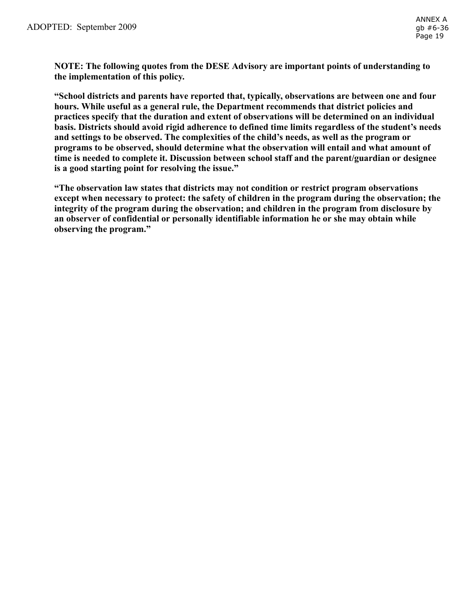NOTE: The following quotes from the DESE Advisory are important points of understanding to the implementation of this policy.

"School districts and parents have reported that, typically, observations are between one and four hours. While useful as a general rule, the Department recommends that district policies and practices specify that the duration and extent of observations will be determined on an individual basis. Districts should avoid rigid adherence to defined time limits regardless of the student's needs and settings to be observed. The complexities of the child's needs, as well as the program or programs to be observed, should determine what the observation will entail and what amount of time is needed to complete it. Discussion between school staff and the parent/guardian or designee is a good starting point for resolving the issue."

"The observation law states that districts may not condition or restrict program observations except when necessary to protect: the safety of children in the program during the observation; the integrity of the program during the observation; and children in the program from disclosure by an observer of confidential or personally identifiable information he or she may obtain while observing the program."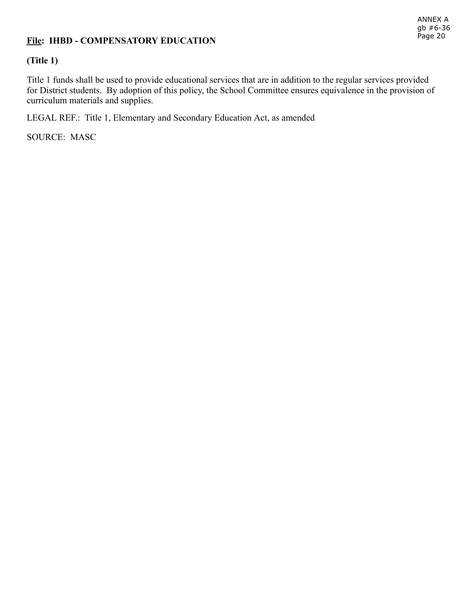## File: IHBD - COMPENSATORY EDUCATION

## (Title 1)

Title 1 funds shall be used to provide educational services that are in addition to the regular services provided for District students. By adoption of this policy, the School Committee ensures equivalence in the provision of curriculum materials and supplies.

LEGAL REF.: Title 1, Elementary and Secondary Education Act, as amended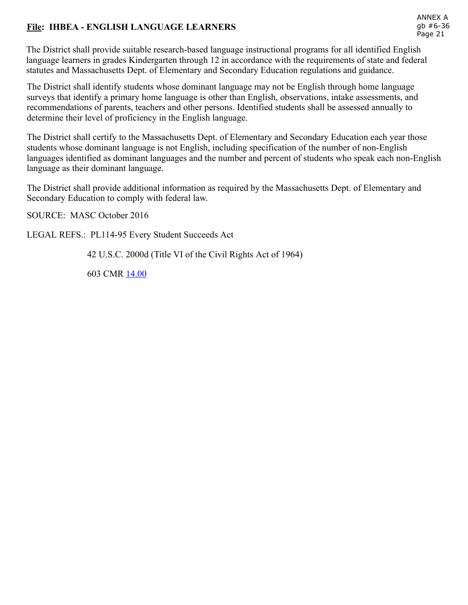## File: IHBEA - ENGLISH LANGUAGE LEARNERS

The District shall provide suitable research-based language instructional programs for all identified English language learners in grades Kindergarten through 12 in accordance with the requirements of state and federal statutes and Massachusetts Dept. of Elementary and Secondary Education regulations and guidance.

The District shall identify students whose dominant language may not be English through home language surveys that identify a primary home language is other than English, observations, intake assessments, and recommendations of parents, teachers and other persons. Identified students shall be assessed annually to determine their level of proficiency in the English language.

The District shall certify to the Massachusetts Dept. of Elementary and Secondary Education each year those students whose dominant language is not English, including specification of the number of non-English languages identified as dominant languages and the number and percent of students who speak each non-English language as their dominant language.

The District shall provide additional information as required by the Massachusetts Dept. of Elementary and Secondary Education to comply with federal law.

SOURCE: MASC October 2016

LEGAL REFS.: PL114-95 Every Student Succeeds Act

42 U.S.C. 2000d (Title VI of the Civil Rights Act of 1964)

603 CMR [14.00](http://www.doe.mass.edu/lawsregs/603cmr14.html)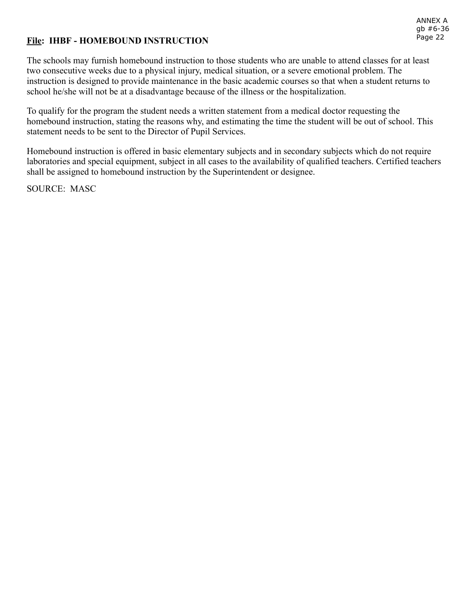# File: IHBF - HOMEBOUND INSTRUCTION

The schools may furnish homebound instruction to those students who are unable to attend classes for at least two consecutive weeks due to a physical injury, medical situation, or a severe emotional problem. The instruction is designed to provide maintenance in the basic academic courses so that when a student returns to school he/she will not be at a disadvantage because of the illness or the hospitalization.

To qualify for the program the student needs a written statement from a medical doctor requesting the homebound instruction, stating the reasons why, and estimating the time the student will be out of school. This statement needs to be sent to the Director of Pupil Services.

Homebound instruction is offered in basic elementary subjects and in secondary subjects which do not require laboratories and special equipment, subject in all cases to the availability of qualified teachers. Certified teachers shall be assigned to homebound instruction by the Superintendent or designee.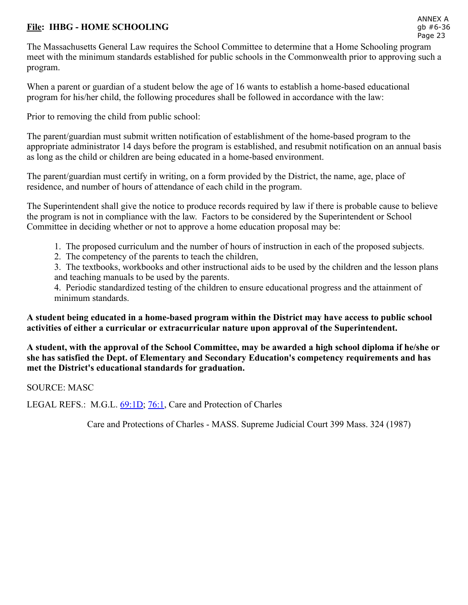## File: IHBG - HOME SCHOOLING

The Massachusetts General Law requires the School Committee to determine that a Home Schooling program meet with the minimum standards established for public schools in the Commonwealth prior to approving such a program.

When a parent or guardian of a student below the age of 16 wants to establish a home-based educational program for his/her child, the following procedures shall be followed in accordance with the law:

Prior to removing the child from public school:

The parent/guardian must submit written notification of establishment of the home-based program to the appropriate administrator 14 days before the program is established, and resubmit notification on an annual basis as long as the child or children are being educated in a home-based environment.

The parent/guardian must certify in writing, on a form provided by the District, the name, age, place of residence, and number of hours of attendance of each child in the program.

The Superintendent shall give the notice to produce records required by law if there is probable cause to believe the program is not in compliance with the law. Factors to be considered by the Superintendent or School Committee in deciding whether or not to approve a home education proposal may be:

- 1. The proposed curriculum and the number of hours of instruction in each of the proposed subjects.
- 2. The competency of the parents to teach the children,

3. The textbooks, workbooks and other instructional aids to be used by the children and the lesson plans and teaching manuals to be used by the parents.

4. Periodic standardized testing of the children to ensure educational progress and the attainment of minimum standards.

A student being educated in a homebased program within the District may have access to public school activities of either a curricular or extracurricular nature upon approval of the Superintendent.

A student, with the approval of the School Committee, may be awarded a high school diploma if he/she or she has satisfied the Dept. of Elementary and Secondary Education's competency requirements and has met the District's educational standards for graduation.

SOURCE: MASC

LEGAL REFS.: M.G.L. [69:1D](https://malegislature.gov/Laws/GeneralLaws/PartI/TitleXII/Chapter69/section1d); [76:1,](https://malegislature.gov/Laws/GeneralLaws/PartI/TitleXII/Chapter76/section1) Care and Protection of Charles

Care and Protections of Charles - MASS. Supreme Judicial Court 399 Mass. 324 (1987)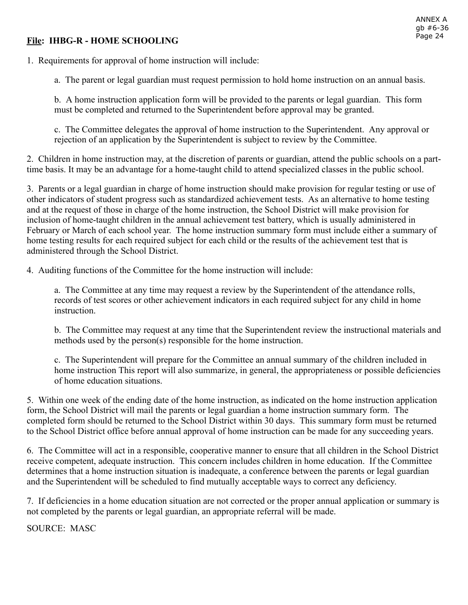## **File: IHBG-R - HOME SCHOOLING**

1. Requirements for approval of home instruction will include:

a. The parent or legal guardian must request permission to hold home instruction on an annual basis.

b. A home instruction application form will be provided to the parents or legal guardian. This form must be completed and returned to the Superintendent before approval may be granted.

c. The Committee delegates the approval of home instruction to the Superintendent. Any approval or rejection of an application by the Superintendent is subject to review by the Committee.

2. Children in home instruction may, at the discretion of parents or guardian, attend the public schools on a parttime basis. It may be an advantage for a home-taught child to attend specialized classes in the public school.

3. Parents or a legal guardian in charge of home instruction should make provision for regular testing or use of other indicators of student progress such as standardized achievement tests. As an alternative to home testing and at the request of those in charge of the home instruction, the School District will make provision for inclusion of home-taught children in the annual achievement test battery, which is usually administered in February or March of each school year. The home instruction summary form must include either a summary of home testing results for each required subject for each child or the results of the achievement test that is administered through the School District.

4. Auditing functions of the Committee for the home instruction will include:

a. The Committee at any time may request a review by the Superintendent of the attendance rolls, records of test scores or other achievement indicators in each required subject for any child in home instruction.

b. The Committee may request at any time that the Superintendent review the instructional materials and methods used by the person(s) responsible for the home instruction.

c. The Superintendent will prepare for the Committee an annual summary of the children included in home instruction This report will also summarize, in general, the appropriateness or possible deficiencies of home education situations.

5. Within one week of the ending date of the home instruction, as indicated on the home instruction application form, the School District will mail the parents or legal guardian a home instruction summary form. The completed form should be returned to the School District within 30 days. This summary form must be returned to the School District office before annual approval of home instruction can be made for any succeeding years.

6. The Committee will act in a responsible, cooperative manner to ensure that all children in the School District receive competent, adequate instruction. This concern includes children in home education. If the Committee determines that a home instruction situation is inadequate, a conference between the parents or legal guardian and the Superintendent will be scheduled to find mutually acceptable ways to correct any deficiency.

7. If deficiencies in a home education situation are not corrected or the proper annual application or summary is not completed by the parents or legal guardian, an appropriate referral will be made.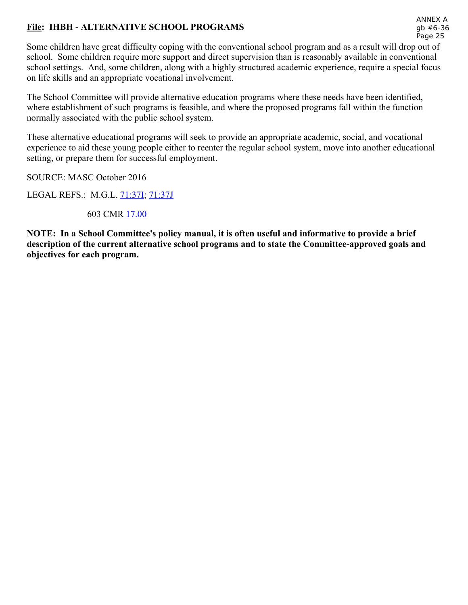# File: IHBH - ALTERNATIVE SCHOOL PROGRAMS

ANNEX A gb #6-36 Page 25

Some children have great difficulty coping with the conventional school program and as a result will drop out of school. Some children require more support and direct supervision than is reasonably available in conventional school settings. And, some children, along with a highly structured academic experience, require a special focus on life skills and an appropriate vocational involvement.

The School Committee will provide alternative education programs where these needs have been identified, where establishment of such programs is feasible, and where the proposed programs fall within the function normally associated with the public school system.

These alternative educational programs will seek to provide an appropriate academic, social, and vocational experience to aid these young people either to reenter the regular school system, move into another educational setting, or prepare them for successful employment.

SOURCE: MASC October 2016

LEGAL REFS.: M.G.L. [71:37I](https://malegislature.gov/Laws/GeneralLaws/PartI/TitleXII/Chapter71/section37i); [71:37J](https://malegislature.gov/Laws/GeneralLaws/PartI/TitleXII/Chapter71/section37j)

603 CMR [17.00](http://www.doe.mass.edu/lawsregs/603cmr17.html)

NOTE: In a School Committee's policy manual, it is often useful and informative to provide a brief description of the current alternative school programs and to state the Committee-approved goals and objectives for each program.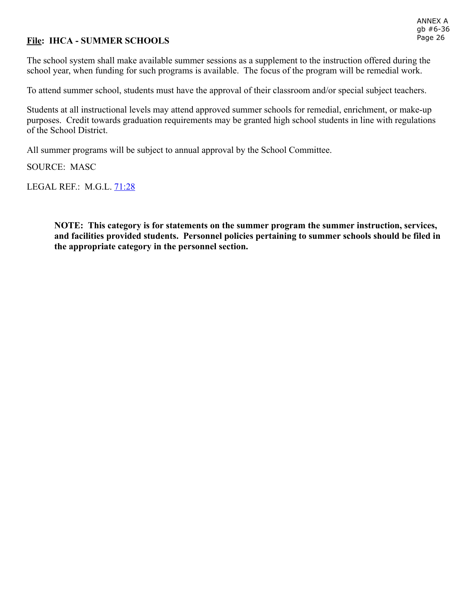## File: IHCA - SUMMER SCHOOLS

The school system shall make available summer sessions as a supplement to the instruction offered during the school year, when funding for such programs is available. The focus of the program will be remedial work.

To attend summer school, students must have the approval of their classroom and/or special subject teachers.

Students at all instructional levels may attend approved summer schools for remedial, enrichment, or make-up purposes. Credit towards graduation requirements may be granted high school students in line with regulations of the School District.

All summer programs will be subject to annual approval by the School Committee.

SOURCE: MASC

LEGAL REF.: M.G.L. [71:28](http://www.malegislature.gov/Laws/GeneralLaws/PartI/TitleXII/Chapter71/Section28)

NOTE: This category is for statements on the summer program the summer instruction, services, and facilities provided students. Personnel policies pertaining to summer schools should be filed in the appropriate category in the personnel section.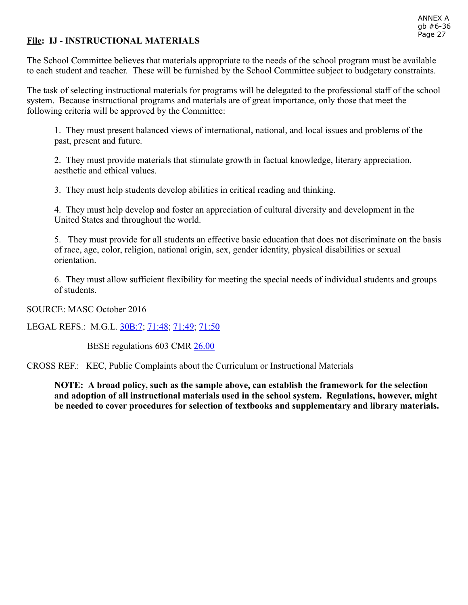## File: IJ - INSTRUCTIONAL MATERIALS

The School Committee believes that materials appropriate to the needs of the school program must be available to each student and teacher. These will be furnished by the School Committee subject to budgetary constraints.

The task of selecting instructional materials for programs will be delegated to the professional staff of the school system. Because instructional programs and materials are of great importance, only those that meet the following criteria will be approved by the Committee:

1. They must present balanced views of international, national, and local issues and problems of the past, present and future.

2. They must provide materials that stimulate growth in factual knowledge, literary appreciation, aesthetic and ethical values.

3. They must help students develop abilities in critical reading and thinking.

4. They must help develop and foster an appreciation of cultural diversity and development in the United States and throughout the world.

5. They must provide for all students an effective basic education that does not discriminate on the basis of race, age, color, religion, national origin, sex, gender identity, physical disabilities or sexual orientation.

6. They must allow sufficient flexibility for meeting the special needs of individual students and groups of students.

SOURCE: MASC October 2016

LEGAL REFS.: M.G.L. [30B:7;](https://malegislature.gov/Laws/GeneralLaws/PartI/TitleIII/Chapter30b/section7) [71:48;](https://malegislature.gov/Laws/GeneralLaws/PartI/TitleXII/Chapter71/section48) [71:49;](https://malegislature.gov/Laws/GeneralLaws/PartI/TitleXII/Chapter71/section49) [71:50](https://malegislature.gov/Laws/GeneralLaws/PartI/TitleXII/Chapter71/section50)

BESE regulations 603 CMR [26.00](http://www.doe.mass.edu/lawsregs/603cmr26.html)

CROSS REF.: KEC, Public Complaints about the Curriculum or Instructional Materials

NOTE: A broad policy, such as the sample above, can establish the framework for the selection and adoption of all instructional materials used in the school system. Regulations, however, might be needed to cover procedures for selection of textbooks and supplementary and library materials.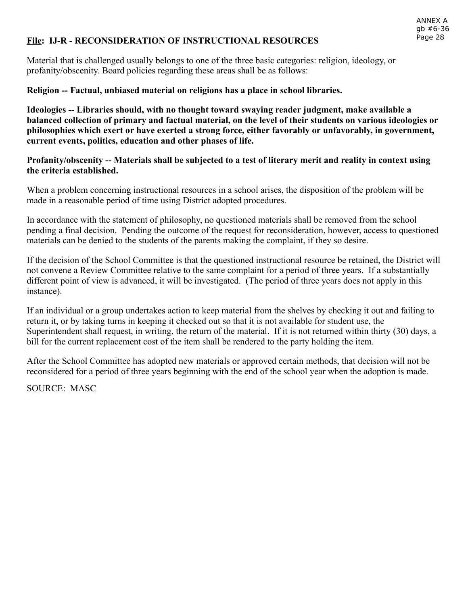#### File: IJ-R - RECONSIDERATION OF INSTRUCTIONAL RESOURCES

Material that is challenged usually belongs to one of the three basic categories: religion, ideology, or profanity/obscenity. Board policies regarding these areas shall be as follows:

#### Religion Factual, unbiased material on religions has a place in school libraries.

Ideologies -- Libraries should, with no thought toward swaying reader judgment, make available a balanced collection of primary and factual material, on the level of their students on various ideologies or philosophies which exert or have exerted a strong force, either favorably or unfavorably, in government, current events, politics, education and other phases of life.

#### Profanity/obscenity -- Materials shall be subjected to a test of literary merit and reality in context using the criteria established.

When a problem concerning instructional resources in a school arises, the disposition of the problem will be made in a reasonable period of time using District adopted procedures.

In accordance with the statement of philosophy, no questioned materials shall be removed from the school pending a final decision. Pending the outcome of the request for reconsideration, however, access to questioned materials can be denied to the students of the parents making the complaint, if they so desire.

If the decision of the School Committee is that the questioned instructional resource be retained, the District will not convene a Review Committee relative to the same complaint for a period of three years. If a substantially different point of view is advanced, it will be investigated. (The period of three years does not apply in this instance).

If an individual or a group undertakes action to keep material from the shelves by checking it out and failing to return it, or by taking turns in keeping it checked out so that it is not available for student use, the Superintendent shall request, in writing, the return of the material. If it is not returned within thirty (30) days, a bill for the current replacement cost of the item shall be rendered to the party holding the item.

After the School Committee has adopted new materials or approved certain methods, that decision will not be reconsidered for a period of three years beginning with the end of the school year when the adoption is made.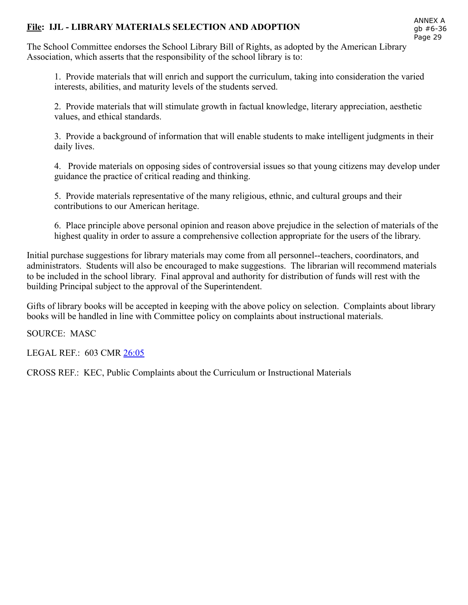## File: IJL - LIBRARY MATERIALS SELECTION AND ADOPTION

The School Committee endorses the School Library Bill of Rights, as adopted by the American Library Association, which asserts that the responsibility of the school library is to:

1. Provide materials that will enrich and support the curriculum, taking into consideration the varied interests, abilities, and maturity levels of the students served.

2. Provide materials that will stimulate growth in factual knowledge, literary appreciation, aesthetic values, and ethical standards.

3. Provide a background of information that will enable students to make intelligent judgments in their daily lives.

4. Provide materials on opposing sides of controversial issues so that young citizens may develop under guidance the practice of critical reading and thinking.

5. Provide materials representative of the many religious, ethnic, and cultural groups and their contributions to our American heritage.

6. Place principle above personal opinion and reason above prejudice in the selection of materials of the highest quality in order to assure a comprehensive collection appropriate for the users of the library.

Initial purchase suggestions for library materials may come from all personnel--teachers, coordinators, and administrators. Students will also be encouraged to make suggestions. The librarian will recommend materials to be included in the school library. Final approval and authority for distribution of funds will rest with the building Principal subject to the approval of the Superintendent.

Gifts of library books will be accepted in keeping with the above policy on selection. Complaints about library books will be handled in line with Committee policy on complaints about instructional materials.

SOURCE: MASC

LEGAL REF.: 603 CMR [26:05](http://www.doe.mass.edu/lawsregs/603cmr26.html?section=05)

CROSS REF.: KEC, Public Complaints about the Curriculum or Instructional Materials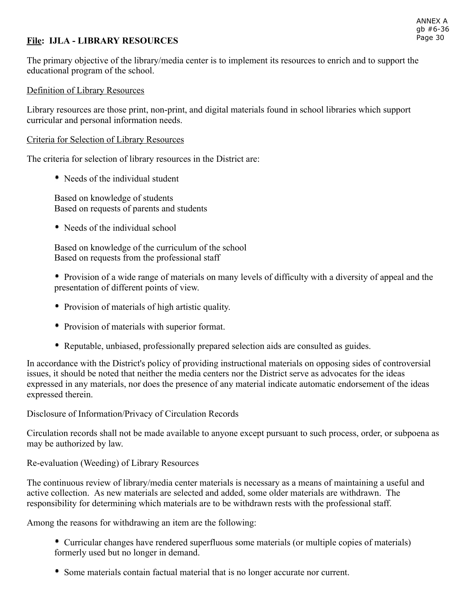## File: IJLA - LIBRARY RESOURCES

The primary objective of the library/media center is to implement its resources to enrich and to support the educational program of the school.

#### Definition of Library Resources

Library resources are those print, non-print, and digital materials found in school libraries which support curricular and personal information needs.

#### Criteria for Selection of Library Resources

The criteria for selection of library resources in the District are:

• Needs of the individual student

Based on knowledge of students Based on requests of parents and students

• Needs of the individual school

Based on knowledge of the curriculum of the school Based on requests from the professional staff

 Provision of a wide range of materials on many levels of difficulty with a diversity of appeal and the presentation of different points of view.

- Provision of materials of high artistic quality.
- Provision of materials with superior format.
- Reputable, unbiased, professionally prepared selection aids are consulted as guides.

In accordance with the District's policy of providing instructional materials on opposing sides of controversial issues, it should be noted that neither the media centers nor the District serve as advocates for the ideas expressed in any materials, nor does the presence of any material indicate automatic endorsement of the ideas expressed therein.

Disclosure of Information/Privacy of Circulation Records

Circulation records shall not be made available to anyone except pursuant to such process, order, or subpoena as may be authorized by law.

Re-evaluation (Weeding) of Library Resources

The continuous review of library/media center materials is necessary as a means of maintaining a useful and active collection. As new materials are selected and added, some older materials are withdrawn. The responsibility for determining which materials are to be withdrawn rests with the professional staff.

Among the reasons for withdrawing an item are the following:

 Curricular changes have rendered superfluous some materials (or multiple copies of materials) formerly used but no longer in demand.

Some materials contain factual material that is no longer accurate nor current.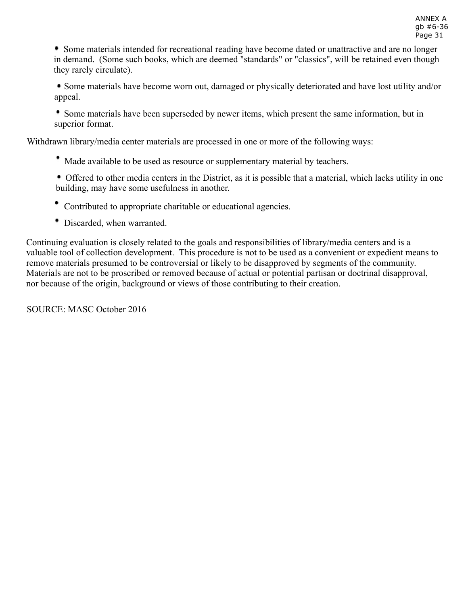Some materials intended for recreational reading have become dated or unattractive and are no longer in demand. (Some such books, which are deemed "standards" or "classics", will be retained even though they rarely circulate).

 Some materials have become worn out, damaged or physically deteriorated and have lost utility and/or appeal.

 Some materials have been superseded by newer items, which present the same information, but in superior format.

Withdrawn library/media center materials are processed in one or more of the following ways:

Made available to be used as resource or supplementary material by teachers.

 Offered to other media centers in the District, as it is possible that a material, which lacks utility in one building, may have some usefulness in another.

- Contributed to appropriate charitable or educational agencies.
- Discarded, when warranted.

Continuing evaluation is closely related to the goals and responsibilities of library/media centers and is a valuable tool of collection development. This procedure is not to be used as a convenient or expedient means to remove materials presumed to be controversial or likely to be disapproved by segments of the community. Materials are not to be proscribed or removed because of actual or potential partisan or doctrinal disapproval, nor because of the origin, background or views of those contributing to their creation.

SOURCE: MASC October 2016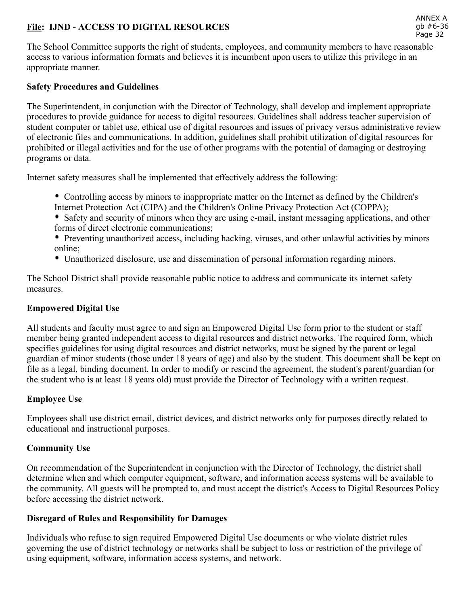## File: IJND ACCESS TO DIGITAL RESOURCES

The School Committee supports the right of students, employees, and community members to have reasonable access to various information formats and believes it is incumbent upon users to utilize this privilege in an appropriate manner.

#### Safety Procedures and Guidelines

The Superintendent, in conjunction with the Director of Technology, shall develop and implement appropriate procedures to provide guidance for access to digital resources. Guidelines shall address teacher supervision of student computer or tablet use, ethical use of digital resources and issues of privacy versus administrative review of electronic files and communications. In addition, guidelines shall prohibit utilization of digital resources for prohibited or illegal activities and for the use of other programs with the potential of damaging or destroying programs or data.

Internet safety measures shall be implemented that effectively address the following:

- Controlling access by minors to inappropriate matter on the Internet as defined by the Children's Internet Protection Act (CIPA) and the Children's Online Privacy Protection Act (COPPA);
- Safety and security of minors when they are using email, instant messaging applications, and other forms of direct electronic communications;
- Preventing unauthorized access, including hacking, viruses, and other unlawful activities by minors online;
- Unauthorized disclosure, use and dissemination of personal information regarding minors.

The School District shall provide reasonable public notice to address and communicate its internet safety measures.

### Empowered Digital Use

All students and faculty must agree to and sign an Empowered Digital Use form prior to the student or staff member being granted independent access to digital resources and district networks. The required form, which specifies guidelines for using digital resources and district networks, must be signed by the parent or legal guardian of minor students (those under 18 years of age) and also by the student. This document shall be kept on file as a legal, binding document. In order to modify or rescind the agreement, the student's parent/guardian (or the student who is at least 18 years old) must provide the Director of Technology with a written request.

### Employee Use

Employees shall use district email, district devices, and district networks only for purposes directly related to educational and instructional purposes.

### Community Use

On recommendation of the Superintendent in conjunction with the Director of Technology, the district shall determine when and which computer equipment, software, and information access systems will be available to the community. All guests will be prompted to, and must accept the district's Access to Digital Resources Policy before accessing the district network.

### Disregard of Rules and Responsibility for Damages

Individuals who refuse to sign required Empowered Digital Use documents or who violate district rules governing the use of district technology or networks shall be subject to loss or restriction of the privilege of using equipment, software, information access systems, and network.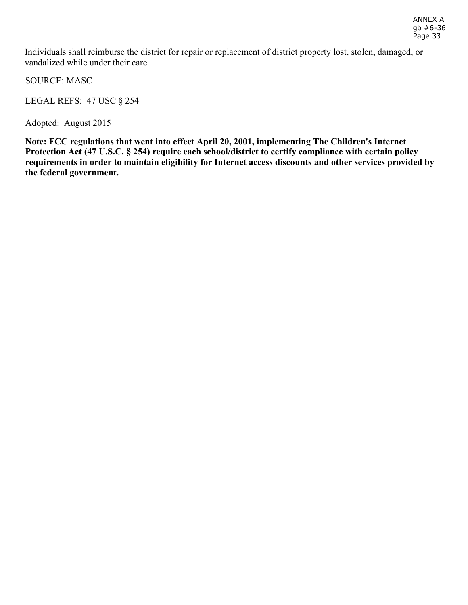Individuals shall reimburse the district for repair or replacement of district property lost, stolen, damaged, or vandalized while under their care.

SOURCE: MASC

LEGAL REFS: 47 USC § 254

Adopted: August 2015

Note: FCC regulations that went into effect April 20, 2001, implementing The Children's Internet Protection Act (47 U.S.C. § 254) require each school/district to certify compliance with certain policy requirements in order to maintain eligibility for Internet access discounts and other services provided by the federal government.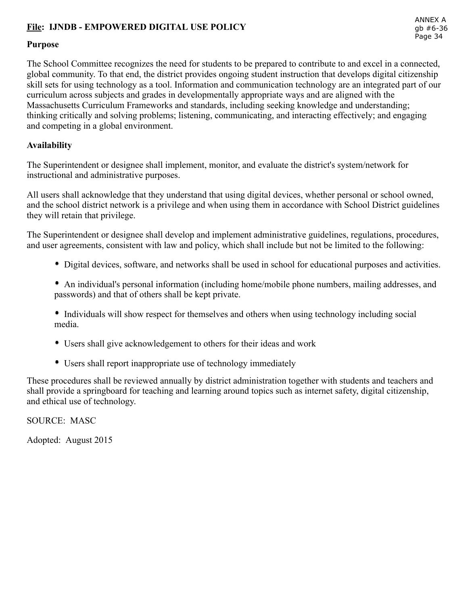## File: IJNDB - EMPOWERED DIGITAL USE POLICY

#### Purpose

The School Committee recognizes the need for students to be prepared to contribute to and excel in a connected, global community. To that end, the district provides ongoing student instruction that develops digital citizenship skill sets for using technology as a tool. Information and communication technology are an integrated part of our curriculum across subjects and grades in developmentally appropriate ways and are aligned with the Massachusetts Curriculum Frameworks and standards, including seeking knowledge and understanding; thinking critically and solving problems; listening, communicating, and interacting effectively; and engaging and competing in a global environment.

#### Availability

The Superintendent or designee shall implement, monitor, and evaluate the district's system/network for instructional and administrative purposes.

All users shall acknowledge that they understand that using digital devices, whether personal or school owned, and the school district network is a privilege and when using them in accordance with School District guidelines they will retain that privilege.

The Superintendent or designee shall develop and implement administrative guidelines, regulations, procedures, and user agreements, consistent with law and policy, which shall include but not be limited to the following:

- Digital devices, software, and networks shall be used in school for educational purposes and activities.
- An individual's personal information (including home/mobile phone numbers, mailing addresses, and passwords) and that of others shall be kept private.
- Individuals will show respect for themselves and others when using technology including social media.
- Users shall give acknowledgement to others for their ideas and work
- Users shall report inappropriate use of technology immediately

These procedures shall be reviewed annually by district administration together with students and teachers and shall provide a springboard for teaching and learning around topics such as internet safety, digital citizenship, and ethical use of technology.

SOURCE: MASC

Adopted: August 2015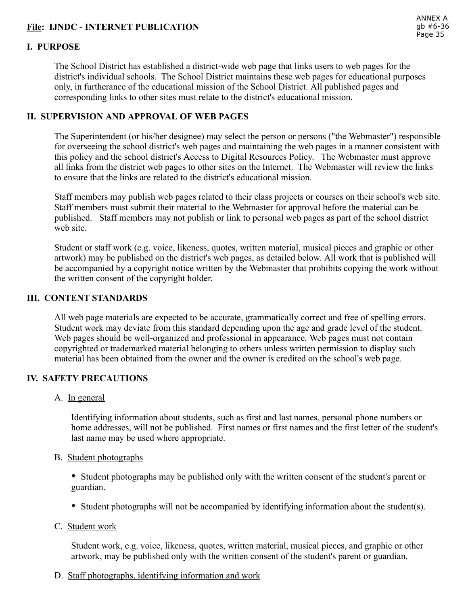## File: IJNDC INTERNET PUBLICATION

## I. PURPOSE

The School District has established a district-wide web page that links users to web pages for the district's individual schools. The School District maintains these web pages for educational purposes only, in furtherance of the educational mission of the School District. All published pages and corresponding links to other sites must relate to the district's educational mission.

#### II. SUPERVISION AND APPROVAL OF WEB PAGES

The Superintendent (or his/her designee) may select the person or persons ("the Webmaster") responsible for overseeing the school district's web pages and maintaining the web pages in a manner consistent with this policy and the school district's Access to Digital Resources Policy. The Webmaster must approve all links from the district web pages to other sites on the Internet. The Webmaster will review the links to ensure that the links are related to the district's educational mission.

Staff members may publish web pages related to their class projects or courses on their school's web site. Staff members must submit their material to the Webmaster for approval before the material can be published. Staff members may not publish or link to personal web pages as part of the school district web site.

Student or staff work (e.g. voice, likeness, quotes, written material, musical pieces and graphic or other artwork) may be published on the district's web pages, as detailed below. All work that is published will be accompanied by a copyright notice written by the Webmaster that prohibits copying the work without the written consent of the copyright holder.

#### III. CONTENT STANDARDS

All web page materials are expected to be accurate, grammatically correct and free of spelling errors. Student work may deviate from this standard depending upon the age and grade level of the student. Web pages should be well-organized and professional in appearance. Web pages must not contain copyrighted or trademarked material belonging to others unless written permission to display such material has been obtained from the owner and the owner is credited on the school's web page.

#### IV. SAFETY PRECAUTIONS

A. In general

Identifying information about students, such as first and last names, personal phone numbers or home addresses, will not be published. First names or first names and the first letter of the student's last name may be used where appropriate.

B. Student photographs

 Student photographs may be published only with the written consent of the student's parent or guardian.

- Student photographs will not be accompanied by identifying information about the student(s).
- C. Student work

Student work, e.g. voice, likeness, quotes, written material, musical pieces, and graphic or other artwork, may be published only with the written consent of the student's parent or guardian.

D. Staff photographs, identifying information and work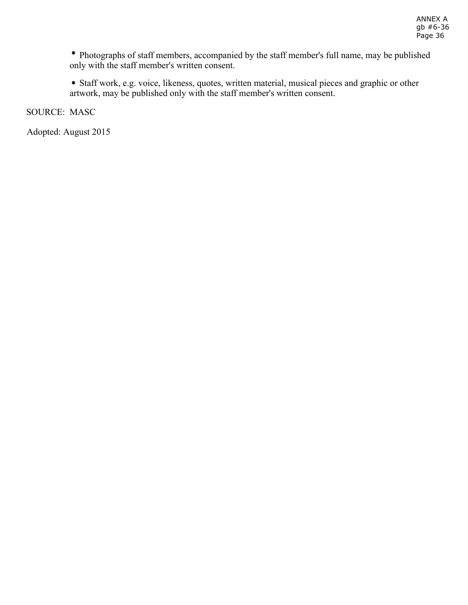Photographs of staff members, accompanied by the staff member's full name, may be published only with the staff member's written consent.

 Staff work, e.g. voice, likeness, quotes, written material, musical pieces and graphic or other artwork, may be published only with the staff member's written consent.

SOURCE: MASC

Adopted: August 2015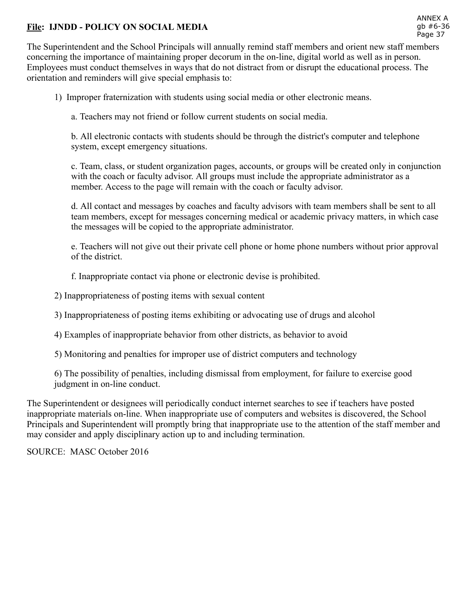## File: IJNDD - POLICY ON SOCIAL MEDIA

The Superintendent and the School Principals will annually remind staff members and orient new staff members concerning the importance of maintaining proper decorum in the on-line, digital world as well as in person. Employees must conduct themselves in ways that do not distract from or disrupt the educational process. The orientation and reminders will give special emphasis to:

1) Improper fraternization with students using social media or other electronic means.

a. Teachers may not friend or follow current students on social media.

b. All electronic contacts with students should be through the district's computer and telephone system, except emergency situations.

c. Team, class, or student organization pages, accounts, or groups will be created only in conjunction with the coach or faculty advisor. All groups must include the appropriate administrator as a member. Access to the page will remain with the coach or faculty advisor.

d. All contact and messages by coaches and faculty advisors with team members shall be sent to all team members, except for messages concerning medical or academic privacy matters, in which case the messages will be copied to the appropriate administrator.

e. Teachers will not give out their private cell phone or home phone numbers without prior approval of the district.

f. Inappropriate contact via phone or electronic devise is prohibited.

2) Inappropriateness of posting items with sexual content

3) Inappropriateness of posting items exhibiting or advocating use of drugs and alcohol

4) Examples of inappropriate behavior from other districts, as behavior to avoid

5) Monitoring and penalties for improper use of district computers and technology

6) The possibility of penalties, including dismissal from employment, for failure to exercise good judgment in on-line conduct.

The Superintendent or designees will periodically conduct internet searches to see if teachers have posted inappropriate materials on-line. When inappropriate use of computers and websites is discovered, the School Principals and Superintendent will promptly bring that inappropriate use to the attention of the staff member and may consider and apply disciplinary action up to and including termination.

SOURCE: MASC October 2016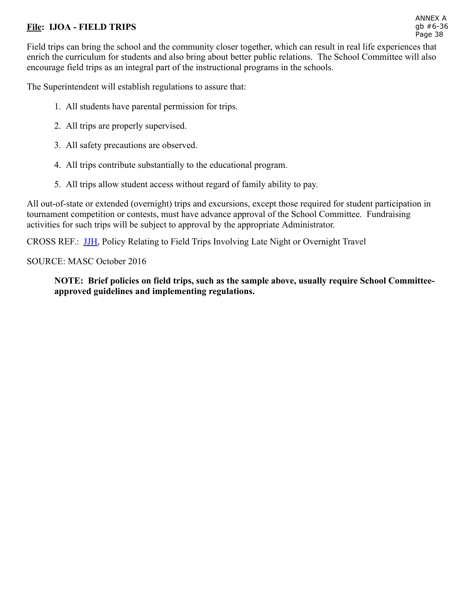## File: **IJOA** - FIELD TRIPS

Field trips can bring the school and the community closer together, which can result in real life experiences that enrich the curriculum for students and also bring about better public relations. The School Committee will also encourage field trips as an integral part of the instructional programs in the schools.

The Superintendent will establish regulations to assure that:

- 1. All students have parental permission for trips.
- 2. All trips are properly supervised.
- 3. All safety precautions are observed.
- 4. All trips contribute substantially to the educational program.
- 5. All trips allow student access without regard of family ability to pay.

All out-of-state or extended (overnight) trips and excursions, except those required for student participation in tournament competition or contests, must have advance approval of the School Committee. Fundraising activities for such trips will be subject to approval by the appropriate Administrator.

CROSS REF.:  [JJH](http://z2policy.ctspublish.com/masc/docid=232&z2collection=master#JD_JJH), Policy Relating to Field Trips Involving Late Night or Overnight Travel

SOURCE: MASC October 2016

NOTE: Brief policies on field trips, such as the sample above, usually require School Committeeapproved guidelines and implementing regulations.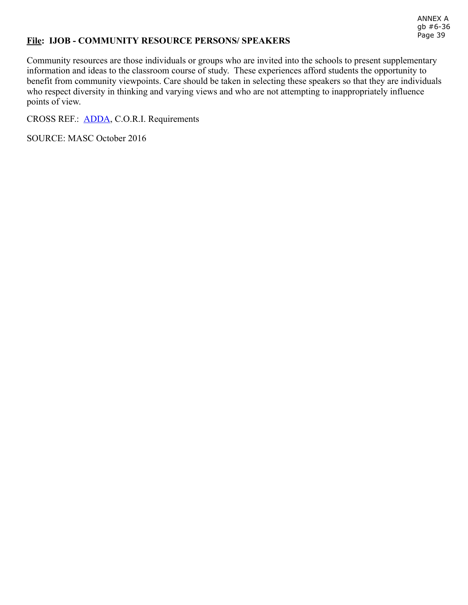#### File: IJOB - COMMUNITY RESOURCE PERSONS/ SPEAKERS

Community resources are those individuals or groups who are invited into the schools to present supplementary information and ideas to the classroom course of study. These experiences afford students the opportunity to benefit from community viewpoints. Care should be taken in selecting these speakers so that they are individuals who respect diversity in thinking and varying views and who are not attempting to inappropriately influence points of view.

CROSS REF.:  [ADDA](http://z2policy.ctspublish.com/masc/docid=11&z2collection=master#JD_ADDA), C.O.R.I. Requirements

SOURCE: MASC October 2016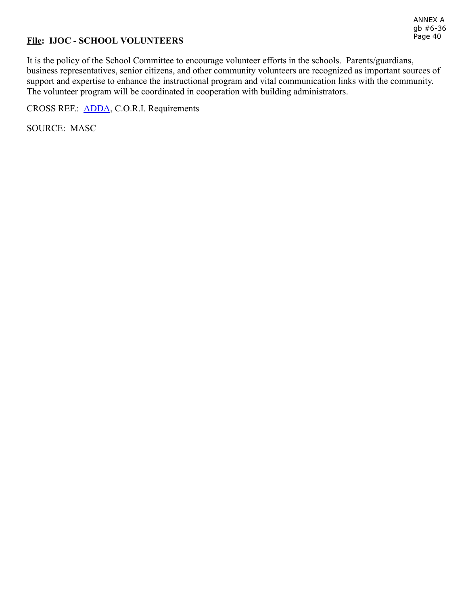## File: IJOC - SCHOOL VOLUNTEERS

ANNEX A gb #6-36 Page 40

It is the policy of the School Committee to encourage volunteer efforts in the schools. Parents/guardians, business representatives, senior citizens, and other community volunteers are recognized as important sources of support and expertise to enhance the instructional program and vital communication links with the community. The volunteer program will be coordinated in cooperation with building administrators.

CROSS REF.:  [ADDA](http://z2policy.ctspublish.com/masc/docid=11&z2collection=master#JD_ADDA), C.O.R.I. Requirements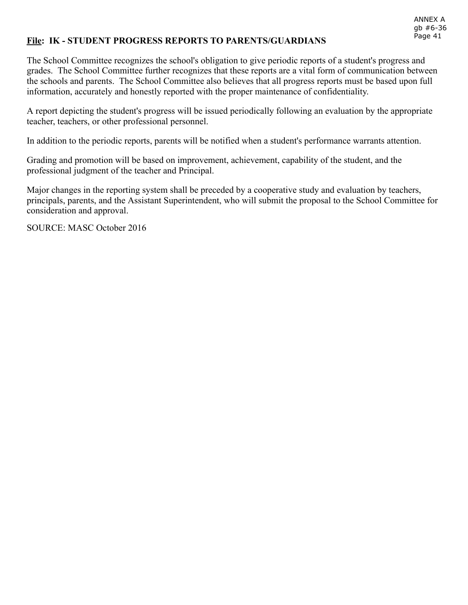#### File: IK - STUDENT PROGRESS REPORTS TO PARENTS/GUARDIANS

The School Committee recognizes the school's obligation to give periodic reports of a student's progress and grades. The School Committee further recognizes that these reports are a vital form of communication between the schools and parents. The School Committee also believes that all progress reports must be based upon full information, accurately and honestly reported with the proper maintenance of confidentiality.

A report depicting the student's progress will be issued periodically following an evaluation by the appropriate teacher, teachers, or other professional personnel.

In addition to the periodic reports, parents will be notified when a student's performance warrants attention.

Grading and promotion will be based on improvement, achievement, capability of the student, and the professional judgment of the teacher and Principal.

Major changes in the reporting system shall be preceded by a cooperative study and evaluation by teachers, principals, parents, and the Assistant Superintendent, who will submit the proposal to the School Committee for consideration and approval.

SOURCE: MASC October 2016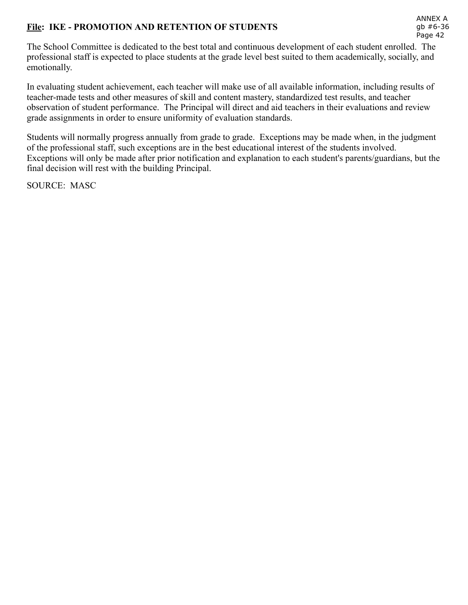## File: IKE - PROMOTION AND RETENTION OF STUDENTS

The School Committee is dedicated to the best total and continuous development of each student enrolled. The professional staff is expected to place students at the grade level best suited to them academically, socially, and emotionally.

In evaluating student achievement, each teacher will make use of all available information, including results of teacher-made tests and other measures of skill and content mastery, standardized test results, and teacher observation of student performance. The Principal will direct and aid teachers in their evaluations and review grade assignments in order to ensure uniformity of evaluation standards.

Students will normally progress annually from grade to grade. Exceptions may be made when, in the judgment of the professional staff, such exceptions are in the best educational interest of the students involved. Exceptions will only be made after prior notification and explanation to each student's parents/guardians, but the final decision will rest with the building Principal.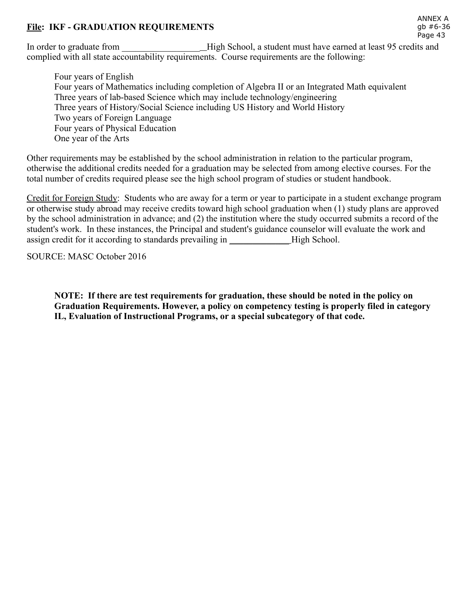#### File: IKF - GRADUATION REQUIREMENTS

In order to graduate from \_\_\_\_\_\_\_\_\_\_\_\_\_\_\_\_\_ High School, a student must have earned at least 95 credits and complied with all state accountability requirements. Course requirements are the following:

Four years of English Four years of Mathematics including completion of Algebra II or an Integrated Math equivalent Three years of lab-based Science which may include technology/engineering Three years of History/Social Science including US History and World History Two years of Foreign Language Four years of Physical Education One year of the Arts

Other requirements may be established by the school administration in relation to the particular program, otherwise the additional credits needed for a graduation may be selected from among elective courses. For the total number of credits required please see the high school program of studies or student handbook.

Credit for Foreign Study: Students who are away for a term or year to participate in a student exchange program or otherwise study abroad may receive credits toward high school graduation when (1) study plans are approved by the school administration in advance; and (2) the institution where the study occurred submits a record of the student's work. In these instances, the Principal and student's guidance counselor will evaluate the work and assign credit for it according to standards prevailing in \_\_\_\_\_\_\_\_\_\_\_\_\_High School.

SOURCE: MASC October 2016

NOTE: If there are test requirements for graduation, these should be noted in the policy on Graduation Requirements. However, a policy on competency testing is properly filed in category IL, Evaluation of Instructional Programs, or a special subcategory of that code.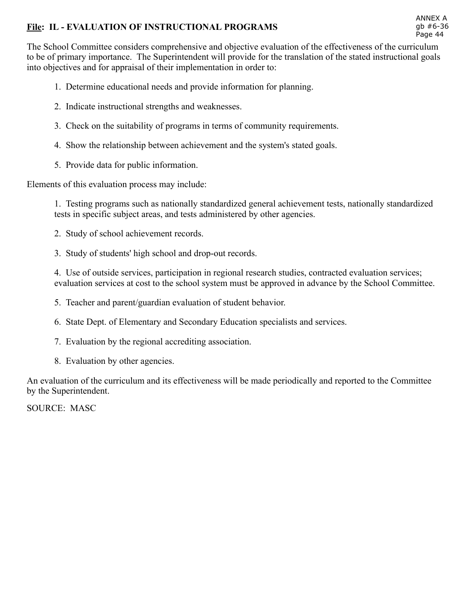## File: IL - EVALUATION OF INSTRUCTIONAL PROGRAMS

The School Committee considers comprehensive and objective evaluation of the effectiveness of the curriculum to be of primary importance. The Superintendent will provide for the translation of the stated instructional goals into objectives and for appraisal of their implementation in order to:

- 1. Determine educational needs and provide information for planning.
- 2. Indicate instructional strengths and weaknesses.
- 3. Check on the suitability of programs in terms of community requirements.
- 4. Show the relationship between achievement and the system's stated goals.
- 5. Provide data for public information.

Elements of this evaluation process may include:

1. Testing programs such as nationally standardized general achievement tests, nationally standardized tests in specific subject areas, and tests administered by other agencies.

- 2. Study of school achievement records.
- 3. Study of students' high school and drop-out records.

4. Use of outside services, participation in regional research studies, contracted evaluation services; evaluation services at cost to the school system must be approved in advance by the School Committee.

- 5. Teacher and parent/guardian evaluation of student behavior.
- 6. State Dept. of Elementary and Secondary Education specialists and services.
- 7. Evaluation by the regional accrediting association.
- 8. Evaluation by other agencies.

An evaluation of the curriculum and its effectiveness will be made periodically and reported to the Committee by the Superintendent.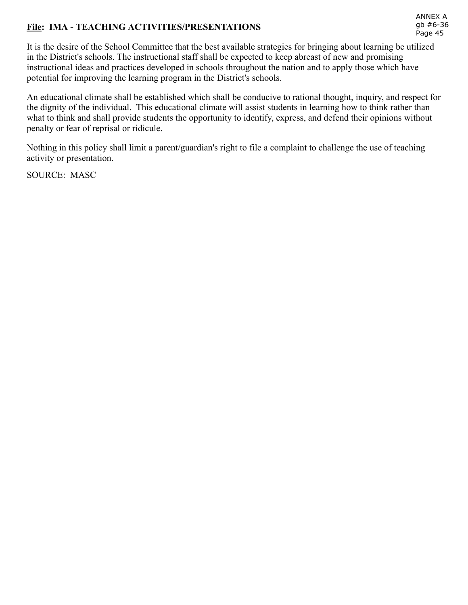# File: IMA - TEACHING ACTIVITIES/PRESENTATIONS

It is the desire of the School Committee that the best available strategies for bringing about learning be utilized in the District's schools. The instructional staff shall be expected to keep abreast of new and promising instructional ideas and practices developed in schools throughout the nation and to apply those which have potential for improving the learning program in the District's schools.

An educational climate shall be established which shall be conducive to rational thought, inquiry, and respect for the dignity of the individual. This educational climate will assist students in learning how to think rather than what to think and shall provide students the opportunity to identify, express, and defend their opinions without penalty or fear of reprisal or ridicule.

Nothing in this policy shall limit a parent/guardian's right to file a complaint to challenge the use of teaching activity or presentation.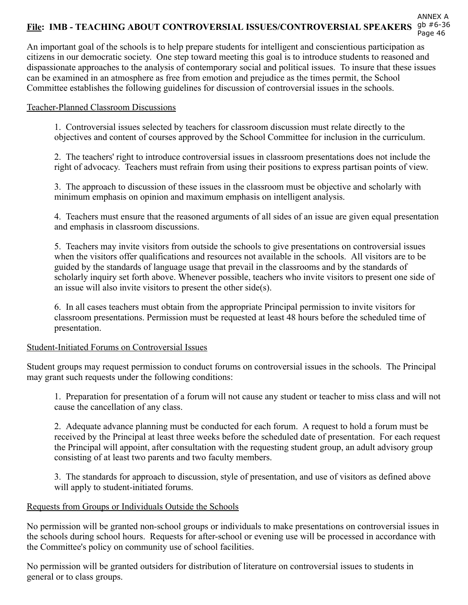# File: IMB - TEACHING ABOUT CONTROVERSIAL ISSUES/CONTROVERSIAL SPEAKERS 9b #6-36

An important goal of the schools is to help prepare students for intelligent and conscientious participation as citizens in our democratic society. One step toward meeting this goal is to introduce students to reasoned and dispassionate approaches to the analysis of contemporary social and political issues. To insure that these issues can be examined in an atmosphere as free from emotion and prejudice as the times permit, the School Committee establishes the following guidelines for discussion of controversial issues in the schools.

#### Teacher-Planned Classroom Discussions

1. Controversial issues selected by teachers for classroom discussion must relate directly to the objectives and content of courses approved by the School Committee for inclusion in the curriculum.

2. The teachers' right to introduce controversial issues in classroom presentations does not include the right of advocacy. Teachers must refrain from using their positions to express partisan points of view.

3. The approach to discussion of these issues in the classroom must be objective and scholarly with minimum emphasis on opinion and maximum emphasis on intelligent analysis.

4. Teachers must ensure that the reasoned arguments of all sides of an issue are given equal presentation and emphasis in classroom discussions.

5. Teachers may invite visitors from outside the schools to give presentations on controversial issues when the visitors offer qualifications and resources not available in the schools. All visitors are to be guided by the standards of language usage that prevail in the classrooms and by the standards of scholarly inquiry set forth above. Whenever possible, teachers who invite visitors to present one side of an issue will also invite visitors to present the other side(s).

6. In all cases teachers must obtain from the appropriate Principal permission to invite visitors for classroom presentations. Permission must be requested at least 48 hours before the scheduled time of presentation.

#### Student-Initiated Forums on Controversial Issues

Student groups may request permission to conduct forums on controversial issues in the schools. The Principal may grant such requests under the following conditions:

1. Preparation for presentation of a forum will not cause any student or teacher to miss class and will not cause the cancellation of any class.

2. Adequate advance planning must be conducted for each forum. A request to hold a forum must be received by the Principal at least three weeks before the scheduled date of presentation. For each request the Principal will appoint, after consultation with the requesting student group, an adult advisory group consisting of at least two parents and two faculty members.

3. The standards for approach to discussion, style of presentation, and use of visitors as defined above will apply to student-initiated forums.

#### Requests from Groups or Individuals Outside the Schools

No permission will be granted non-school groups or individuals to make presentations on controversial issues in the schools during school hours. Requests for after-school or evening use will be processed in accordance with the Committee's policy on community use of school facilities.

No permission will be granted outsiders for distribution of literature on controversial issues to students in general or to class groups.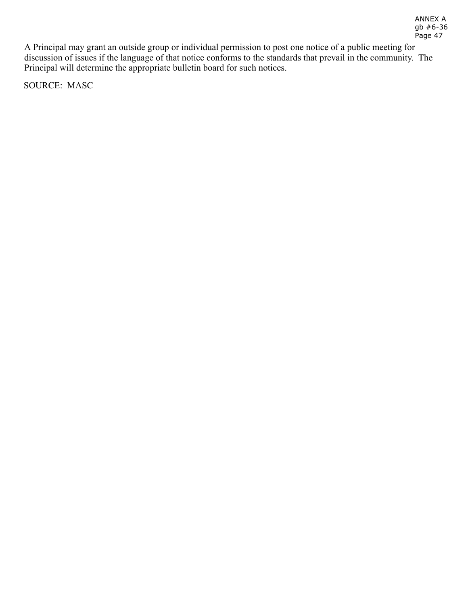A Principal may grant an outside group or individual permission to post one notice of a public meeting for discussion of issues if the language of that notice conforms to the standards that prevail in the community. The Principal will determine the appropriate bulletin board for such notices.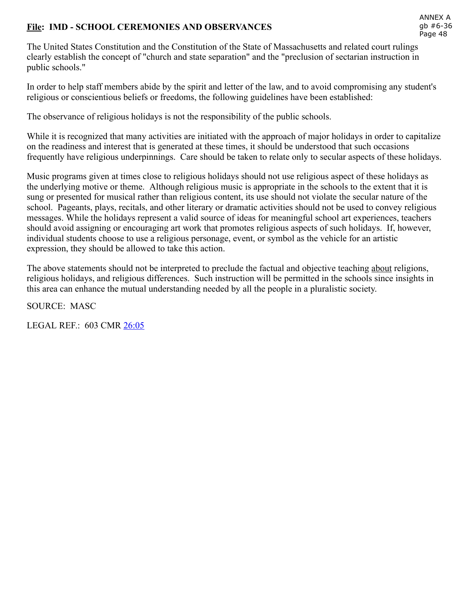## File: IMD - SCHOOL CEREMONIES AND OBSERVANCES

The United States Constitution and the Constitution of the State of Massachusetts and related court rulings clearly establish the concept of "church and state separation" and the "preclusion of sectarian instruction in public schools."

In order to help staff members abide by the spirit and letter of the law, and to avoid compromising any student's religious or conscientious beliefs or freedoms, the following guidelines have been established:

The observance of religious holidays is not the responsibility of the public schools.

While it is recognized that many activities are initiated with the approach of major holidays in order to capitalize on the readiness and interest that is generated at these times, it should be understood that such occasions frequently have religious underpinnings. Care should be taken to relate only to secular aspects of these holidays.

Music programs given at times close to religious holidays should not use religious aspect of these holidays as the underlying motive or theme. Although religious music is appropriate in the schools to the extent that it is sung or presented for musical rather than religious content, its use should not violate the secular nature of the school. Pageants, plays, recitals, and other literary or dramatic activities should not be used to convey religious messages. While the holidays represent a valid source of ideas for meaningful school art experiences, teachers should avoid assigning or encouraging art work that promotes religious aspects of such holidays. If, however, individual students choose to use a religious personage, event, or symbol as the vehicle for an artistic expression, they should be allowed to take this action.

The above statements should not be interpreted to preclude the factual and objective teaching about religions, religious holidays, and religious differences. Such instruction will be permitted in the schools since insights in this area can enhance the mutual understanding needed by all the people in a pluralistic society.

SOURCE: MASC

LEGAL REF.: 603 CMR [26:05](http://www.doe.mass.edu/lawsregs/603cmr26.html?section=05)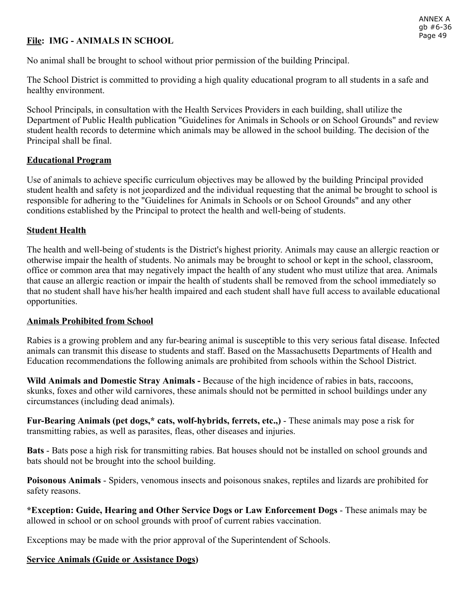# File: IMG - ANIMALS IN SCHOOL

No animal shall be brought to school without prior permission of the building Principal.

The School District is committed to providing a high quality educational program to all students in a safe and healthy environment.

School Principals, in consultation with the Health Services Providers in each building, shall utilize the Department of Public Health publication "Guidelines for Animals in Schools or on School Grounds" and review student health records to determine which animals may be allowed in the school building. The decision of the Principal shall be final.

## Educational Program

Use of animals to achieve specific curriculum objectives may be allowed by the building Principal provided student health and safety is not jeopardized and the individual requesting that the animal be brought to school is responsible for adhering to the "Guidelines for Animals in Schools or on School Grounds" and any other conditions established by the Principal to protect the health and well-being of students.

## Student Health

The health and well-being of students is the District's highest priority. Animals may cause an allergic reaction or otherwise impair the health of students. No animals may be brought to school or kept in the school, classroom, office or common area that may negatively impact the health of any student who must utilize that area. Animals that cause an allergic reaction or impair the health of students shall be removed from the school immediately so that no student shall have his/her health impaired and each student shall have full access to available educational opportunities.

## Animals Prohibited from School

Rabies is a growing problem and any fur-bearing animal is susceptible to this very serious fatal disease. Infected animals can transmit this disease to students and staff. Based on the Massachusetts Departments of Health and Education recommendations the following animals are prohibited from schools within the School District.

Wild Animals and Domestic Stray Animals - Because of the high incidence of rabies in bats, raccoons, skunks, foxes and other wild carnivores, these animals should not be permitted in school buildings under any circumstances (including dead animals).

Fur-Bearing Animals (pet dogs,\* cats, wolf-hybrids, ferrets, etc.,) - These animals may pose a risk for transmitting rabies, as well as parasites, fleas, other diseases and injuries.

Bats - Bats pose a high risk for transmitting rabies. Bat houses should not be installed on school grounds and bats should not be brought into the school building.

Poisonous Animals - Spiders, venomous insects and poisonous snakes, reptiles and lizards are prohibited for safety reasons.

\*Exception: Guide, Hearing and Other Service Dogs or Law Enforcement Dogs These animals may be allowed in school or on school grounds with proof of current rabies vaccination.

Exceptions may be made with the prior approval of the Superintendent of Schools.

## Service Animals (Guide or Assistance Dogs)